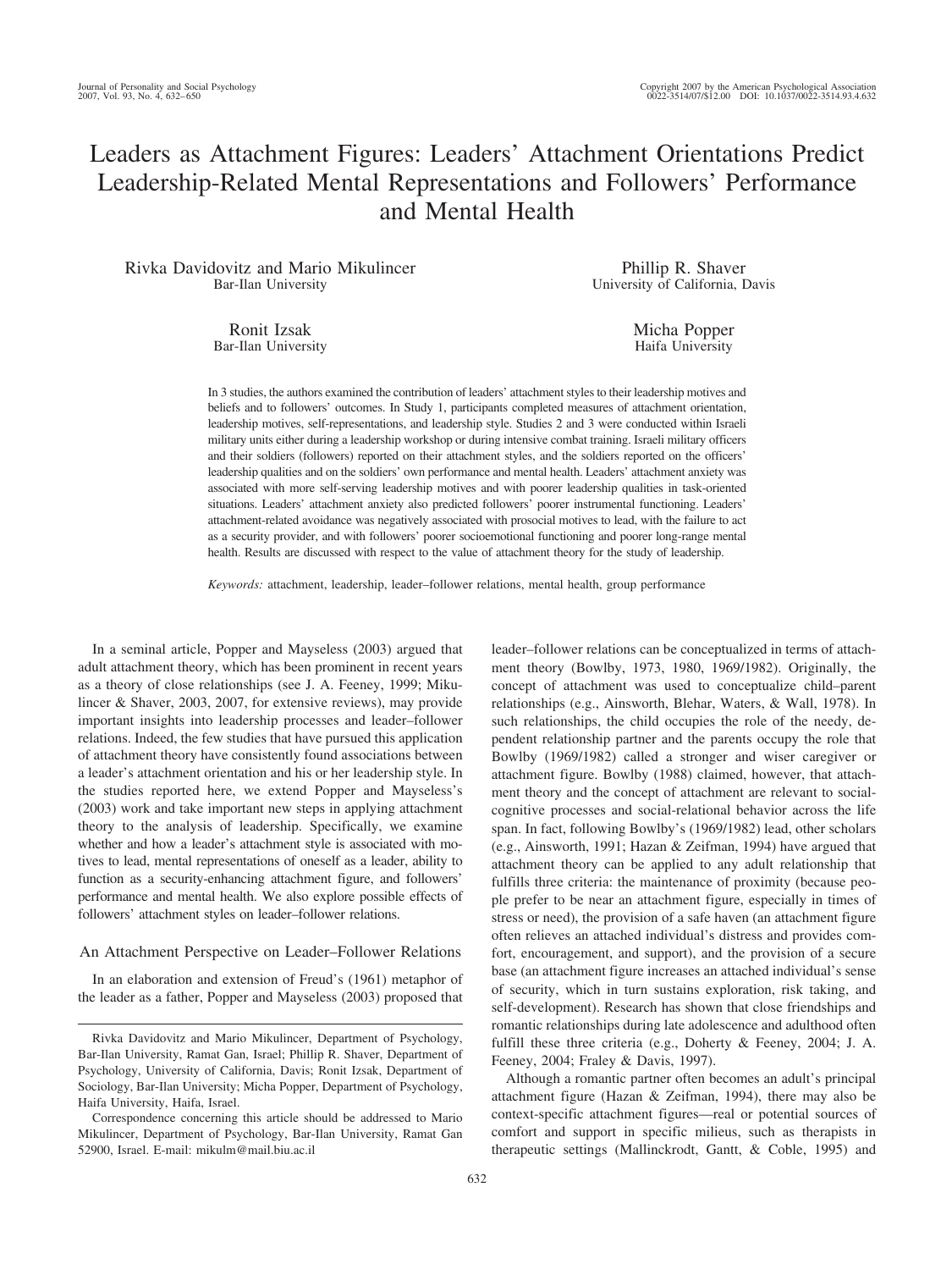# Leaders as Attachment Figures: Leaders' Attachment Orientations Predict Leadership-Related Mental Representations and Followers' Performance and Mental Health

Rivka Davidovitz and Mario Mikulincer Bar-Ilan University

> Ronit Izsak Bar-Ilan University

Phillip R. Shaver University of California, Davis

> Micha Popper Haifa University

In 3 studies, the authors examined the contribution of leaders' attachment styles to their leadership motives and beliefs and to followers' outcomes. In Study 1, participants completed measures of attachment orientation, leadership motives, self-representations, and leadership style. Studies 2 and 3 were conducted within Israeli military units either during a leadership workshop or during intensive combat training. Israeli military officers and their soldiers (followers) reported on their attachment styles, and the soldiers reported on the officers' leadership qualities and on the soldiers' own performance and mental health. Leaders' attachment anxiety was associated with more self-serving leadership motives and with poorer leadership qualities in task-oriented situations. Leaders' attachment anxiety also predicted followers' poorer instrumental functioning. Leaders' attachment-related avoidance was negatively associated with prosocial motives to lead, with the failure to act as a security provider, and with followers' poorer socioemotional functioning and poorer long-range mental health. Results are discussed with respect to the value of attachment theory for the study of leadership.

*Keywords:* attachment, leadership, leader–follower relations, mental health, group performance

In a seminal article, Popper and Mayseless (2003) argued that adult attachment theory, which has been prominent in recent years as a theory of close relationships (see J. A. Feeney, 1999; Mikulincer & Shaver, 2003, 2007, for extensive reviews), may provide important insights into leadership processes and leader–follower relations. Indeed, the few studies that have pursued this application of attachment theory have consistently found associations between a leader's attachment orientation and his or her leadership style. In the studies reported here, we extend Popper and Mayseless's (2003) work and take important new steps in applying attachment theory to the analysis of leadership. Specifically, we examine whether and how a leader's attachment style is associated with motives to lead, mental representations of oneself as a leader, ability to function as a security-enhancing attachment figure, and followers' performance and mental health. We also explore possible effects of followers' attachment styles on leader–follower relations.

#### An Attachment Perspective on Leader–Follower Relations

In an elaboration and extension of Freud's (1961) metaphor of the leader as a father, Popper and Mayseless (2003) proposed that leader–follower relations can be conceptualized in terms of attachment theory (Bowlby, 1973, 1980, 1969/1982). Originally, the concept of attachment was used to conceptualize child–parent relationships (e.g., Ainsworth, Blehar, Waters, & Wall, 1978). In such relationships, the child occupies the role of the needy, dependent relationship partner and the parents occupy the role that Bowlby (1969/1982) called a stronger and wiser caregiver or attachment figure. Bowlby (1988) claimed, however, that attachment theory and the concept of attachment are relevant to socialcognitive processes and social-relational behavior across the life span. In fact, following Bowlby's (1969/1982) lead, other scholars (e.g., Ainsworth, 1991; Hazan & Zeifman, 1994) have argued that attachment theory can be applied to any adult relationship that fulfills three criteria: the maintenance of proximity (because people prefer to be near an attachment figure, especially in times of stress or need), the provision of a safe haven (an attachment figure often relieves an attached individual's distress and provides comfort, encouragement, and support), and the provision of a secure base (an attachment figure increases an attached individual's sense of security, which in turn sustains exploration, risk taking, and self-development). Research has shown that close friendships and romantic relationships during late adolescence and adulthood often fulfill these three criteria (e.g., Doherty & Feeney, 2004; J. A. Feeney, 2004; Fraley & Davis, 1997).

Although a romantic partner often becomes an adult's principal attachment figure (Hazan & Zeifman, 1994), there may also be context-specific attachment figures—real or potential sources of comfort and support in specific milieus, such as therapists in therapeutic settings (Mallinckrodt, Gantt, & Coble, 1995) and

Rivka Davidovitz and Mario Mikulincer, Department of Psychology, Bar-Ilan University, Ramat Gan, Israel; Phillip R. Shaver, Department of Psychology, University of California, Davis; Ronit Izsak, Department of Sociology, Bar-Ilan University; Micha Popper, Department of Psychology, Haifa University, Haifa, Israel.

Correspondence concerning this article should be addressed to Mario Mikulincer, Department of Psychology, Bar-Ilan University, Ramat Gan 52900, Israel. E-mail: mikulm@mail.biu.ac.il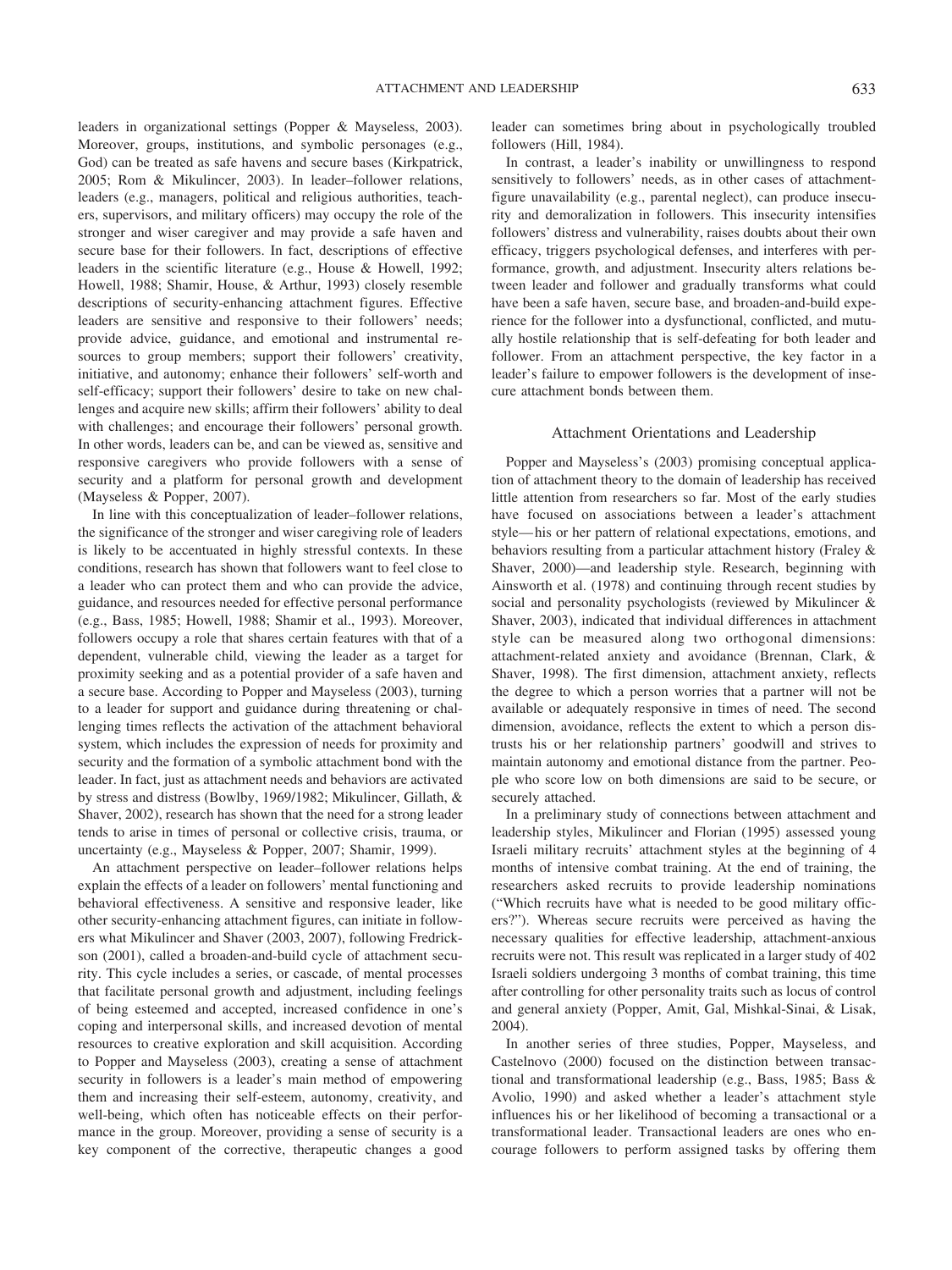leaders in organizational settings (Popper & Mayseless, 2003). Moreover, groups, institutions, and symbolic personages (e.g., God) can be treated as safe havens and secure bases (Kirkpatrick, 2005; Rom & Mikulincer, 2003). In leader–follower relations, leaders (e.g., managers, political and religious authorities, teachers, supervisors, and military officers) may occupy the role of the stronger and wiser caregiver and may provide a safe haven and secure base for their followers. In fact, descriptions of effective leaders in the scientific literature (e.g., House & Howell, 1992; Howell, 1988; Shamir, House, & Arthur, 1993) closely resemble descriptions of security-enhancing attachment figures. Effective leaders are sensitive and responsive to their followers' needs; provide advice, guidance, and emotional and instrumental resources to group members; support their followers' creativity, initiative, and autonomy; enhance their followers' self-worth and self-efficacy; support their followers' desire to take on new challenges and acquire new skills; affirm their followers' ability to deal with challenges; and encourage their followers' personal growth. In other words, leaders can be, and can be viewed as, sensitive and responsive caregivers who provide followers with a sense of security and a platform for personal growth and development (Mayseless & Popper, 2007).

In line with this conceptualization of leader–follower relations, the significance of the stronger and wiser caregiving role of leaders is likely to be accentuated in highly stressful contexts. In these conditions, research has shown that followers want to feel close to a leader who can protect them and who can provide the advice, guidance, and resources needed for effective personal performance (e.g., Bass, 1985; Howell, 1988; Shamir et al., 1993). Moreover, followers occupy a role that shares certain features with that of a dependent, vulnerable child, viewing the leader as a target for proximity seeking and as a potential provider of a safe haven and a secure base. According to Popper and Mayseless (2003), turning to a leader for support and guidance during threatening or challenging times reflects the activation of the attachment behavioral system, which includes the expression of needs for proximity and security and the formation of a symbolic attachment bond with the leader. In fact, just as attachment needs and behaviors are activated by stress and distress (Bowlby, 1969/1982; Mikulincer, Gillath, & Shaver, 2002), research has shown that the need for a strong leader tends to arise in times of personal or collective crisis, trauma, or uncertainty (e.g., Mayseless & Popper, 2007; Shamir, 1999).

An attachment perspective on leader–follower relations helps explain the effects of a leader on followers' mental functioning and behavioral effectiveness. A sensitive and responsive leader, like other security-enhancing attachment figures, can initiate in followers what Mikulincer and Shaver (2003, 2007), following Fredrickson (2001), called a broaden-and-build cycle of attachment security. This cycle includes a series, or cascade, of mental processes that facilitate personal growth and adjustment, including feelings of being esteemed and accepted, increased confidence in one's coping and interpersonal skills, and increased devotion of mental resources to creative exploration and skill acquisition. According to Popper and Mayseless (2003), creating a sense of attachment security in followers is a leader's main method of empowering them and increasing their self-esteem, autonomy, creativity, and well-being, which often has noticeable effects on their performance in the group. Moreover, providing a sense of security is a key component of the corrective, therapeutic changes a good leader can sometimes bring about in psychologically troubled followers (Hill, 1984).

In contrast, a leader's inability or unwillingness to respond sensitively to followers' needs, as in other cases of attachmentfigure unavailability (e.g., parental neglect), can produce insecurity and demoralization in followers. This insecurity intensifies followers' distress and vulnerability, raises doubts about their own efficacy, triggers psychological defenses, and interferes with performance, growth, and adjustment. Insecurity alters relations between leader and follower and gradually transforms what could have been a safe haven, secure base, and broaden-and-build experience for the follower into a dysfunctional, conflicted, and mutually hostile relationship that is self-defeating for both leader and follower. From an attachment perspective, the key factor in a leader's failure to empower followers is the development of insecure attachment bonds between them.

## Attachment Orientations and Leadership

Popper and Mayseless's (2003) promising conceptual application of attachment theory to the domain of leadership has received little attention from researchers so far. Most of the early studies have focused on associations between a leader's attachment style— his or her pattern of relational expectations, emotions, and behaviors resulting from a particular attachment history (Fraley & Shaver, 2000)—and leadership style. Research, beginning with Ainsworth et al. (1978) and continuing through recent studies by social and personality psychologists (reviewed by Mikulincer & Shaver, 2003), indicated that individual differences in attachment style can be measured along two orthogonal dimensions: attachment-related anxiety and avoidance (Brennan, Clark, & Shaver, 1998). The first dimension, attachment anxiety, reflects the degree to which a person worries that a partner will not be available or adequately responsive in times of need. The second dimension, avoidance, reflects the extent to which a person distrusts his or her relationship partners' goodwill and strives to maintain autonomy and emotional distance from the partner. People who score low on both dimensions are said to be secure, or securely attached.

In a preliminary study of connections between attachment and leadership styles, Mikulincer and Florian (1995) assessed young Israeli military recruits' attachment styles at the beginning of 4 months of intensive combat training. At the end of training, the researchers asked recruits to provide leadership nominations ("Which recruits have what is needed to be good military officers?"). Whereas secure recruits were perceived as having the necessary qualities for effective leadership, attachment-anxious recruits were not. This result was replicated in a larger study of 402 Israeli soldiers undergoing 3 months of combat training, this time after controlling for other personality traits such as locus of control and general anxiety (Popper, Amit, Gal, Mishkal-Sinai, & Lisak, 2004).

In another series of three studies, Popper, Mayseless, and Castelnovo (2000) focused on the distinction between transactional and transformational leadership (e.g., Bass, 1985; Bass & Avolio, 1990) and asked whether a leader's attachment style influences his or her likelihood of becoming a transactional or a transformational leader. Transactional leaders are ones who encourage followers to perform assigned tasks by offering them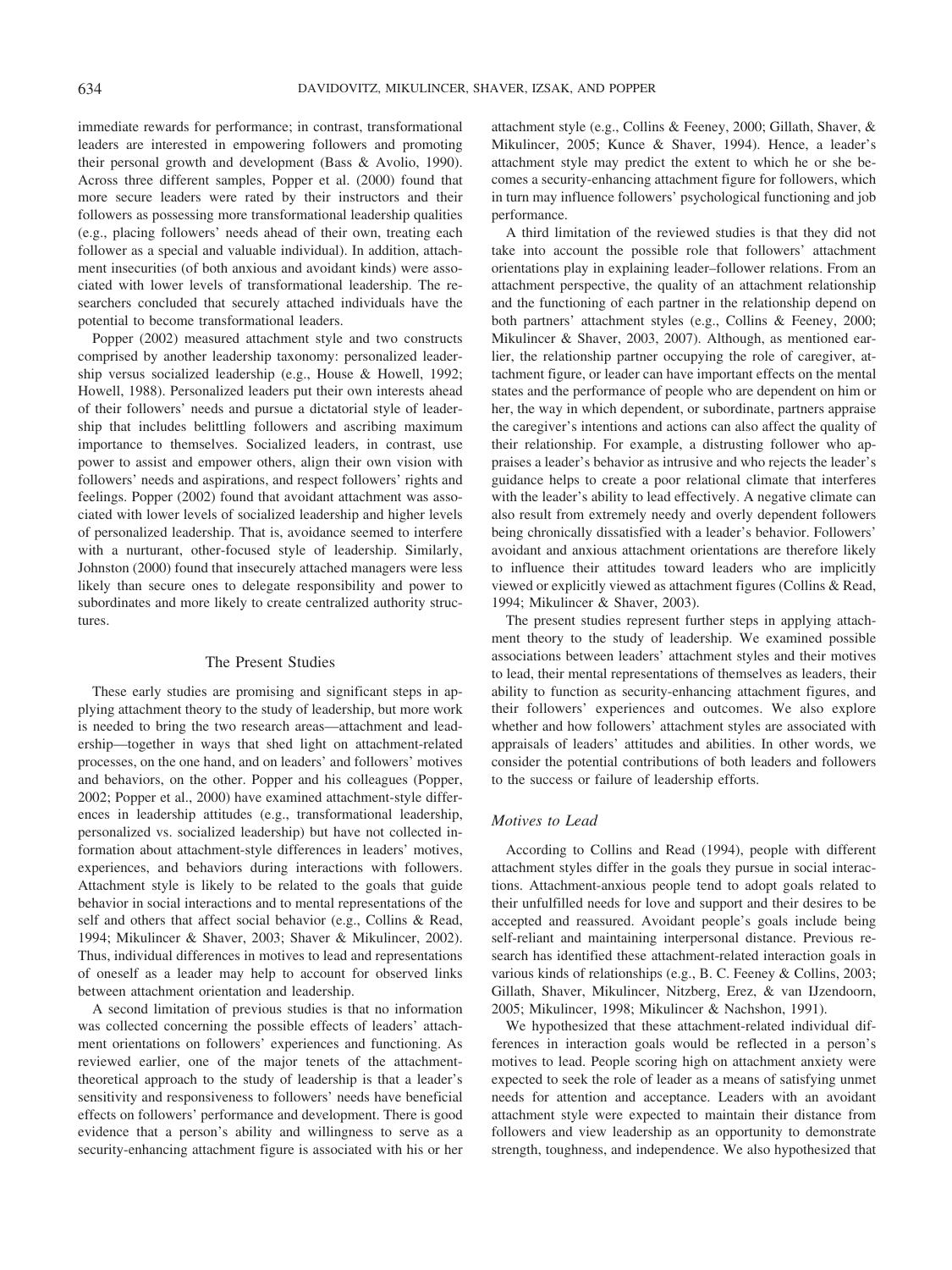immediate rewards for performance; in contrast, transformational leaders are interested in empowering followers and promoting their personal growth and development (Bass & Avolio, 1990). Across three different samples, Popper et al. (2000) found that more secure leaders were rated by their instructors and their followers as possessing more transformational leadership qualities (e.g., placing followers' needs ahead of their own, treating each follower as a special and valuable individual). In addition, attachment insecurities (of both anxious and avoidant kinds) were associated with lower levels of transformational leadership. The researchers concluded that securely attached individuals have the potential to become transformational leaders.

Popper (2002) measured attachment style and two constructs comprised by another leadership taxonomy: personalized leadership versus socialized leadership (e.g., House & Howell, 1992; Howell, 1988). Personalized leaders put their own interests ahead of their followers' needs and pursue a dictatorial style of leadership that includes belittling followers and ascribing maximum importance to themselves. Socialized leaders, in contrast, use power to assist and empower others, align their own vision with followers' needs and aspirations, and respect followers' rights and feelings. Popper (2002) found that avoidant attachment was associated with lower levels of socialized leadership and higher levels of personalized leadership. That is, avoidance seemed to interfere with a nurturant, other-focused style of leadership. Similarly, Johnston (2000) found that insecurely attached managers were less likely than secure ones to delegate responsibility and power to subordinates and more likely to create centralized authority structures.

## The Present Studies

These early studies are promising and significant steps in applying attachment theory to the study of leadership, but more work is needed to bring the two research areas—attachment and leadership—together in ways that shed light on attachment-related processes, on the one hand, and on leaders' and followers' motives and behaviors, on the other. Popper and his colleagues (Popper, 2002; Popper et al., 2000) have examined attachment-style differences in leadership attitudes (e.g., transformational leadership, personalized vs. socialized leadership) but have not collected information about attachment-style differences in leaders' motives, experiences, and behaviors during interactions with followers. Attachment style is likely to be related to the goals that guide behavior in social interactions and to mental representations of the self and others that affect social behavior (e.g., Collins & Read, 1994; Mikulincer & Shaver, 2003; Shaver & Mikulincer, 2002). Thus, individual differences in motives to lead and representations of oneself as a leader may help to account for observed links between attachment orientation and leadership.

A second limitation of previous studies is that no information was collected concerning the possible effects of leaders' attachment orientations on followers' experiences and functioning. As reviewed earlier, one of the major tenets of the attachmenttheoretical approach to the study of leadership is that a leader's sensitivity and responsiveness to followers' needs have beneficial effects on followers' performance and development. There is good evidence that a person's ability and willingness to serve as a security-enhancing attachment figure is associated with his or her attachment style (e.g., Collins & Feeney, 2000; Gillath, Shaver, & Mikulincer, 2005; Kunce & Shaver, 1994). Hence, a leader's attachment style may predict the extent to which he or she becomes a security-enhancing attachment figure for followers, which in turn may influence followers' psychological functioning and job performance.

A third limitation of the reviewed studies is that they did not take into account the possible role that followers' attachment orientations play in explaining leader–follower relations. From an attachment perspective, the quality of an attachment relationship and the functioning of each partner in the relationship depend on both partners' attachment styles (e.g., Collins & Feeney, 2000; Mikulincer & Shaver, 2003, 2007). Although, as mentioned earlier, the relationship partner occupying the role of caregiver, attachment figure, or leader can have important effects on the mental states and the performance of people who are dependent on him or her, the way in which dependent, or subordinate, partners appraise the caregiver's intentions and actions can also affect the quality of their relationship. For example, a distrusting follower who appraises a leader's behavior as intrusive and who rejects the leader's guidance helps to create a poor relational climate that interferes with the leader's ability to lead effectively. A negative climate can also result from extremely needy and overly dependent followers being chronically dissatisfied with a leader's behavior. Followers' avoidant and anxious attachment orientations are therefore likely to influence their attitudes toward leaders who are implicitly viewed or explicitly viewed as attachment figures (Collins & Read, 1994; Mikulincer & Shaver, 2003).

The present studies represent further steps in applying attachment theory to the study of leadership. We examined possible associations between leaders' attachment styles and their motives to lead, their mental representations of themselves as leaders, their ability to function as security-enhancing attachment figures, and their followers' experiences and outcomes. We also explore whether and how followers' attachment styles are associated with appraisals of leaders' attitudes and abilities. In other words, we consider the potential contributions of both leaders and followers to the success or failure of leadership efforts.

#### *Motives to Lead*

According to Collins and Read (1994), people with different attachment styles differ in the goals they pursue in social interactions. Attachment-anxious people tend to adopt goals related to their unfulfilled needs for love and support and their desires to be accepted and reassured. Avoidant people's goals include being self-reliant and maintaining interpersonal distance. Previous research has identified these attachment-related interaction goals in various kinds of relationships (e.g., B. C. Feeney & Collins, 2003; Gillath, Shaver, Mikulincer, Nitzberg, Erez, & van IJzendoorn, 2005; Mikulincer, 1998; Mikulincer & Nachshon, 1991).

We hypothesized that these attachment-related individual differences in interaction goals would be reflected in a person's motives to lead. People scoring high on attachment anxiety were expected to seek the role of leader as a means of satisfying unmet needs for attention and acceptance. Leaders with an avoidant attachment style were expected to maintain their distance from followers and view leadership as an opportunity to demonstrate strength, toughness, and independence. We also hypothesized that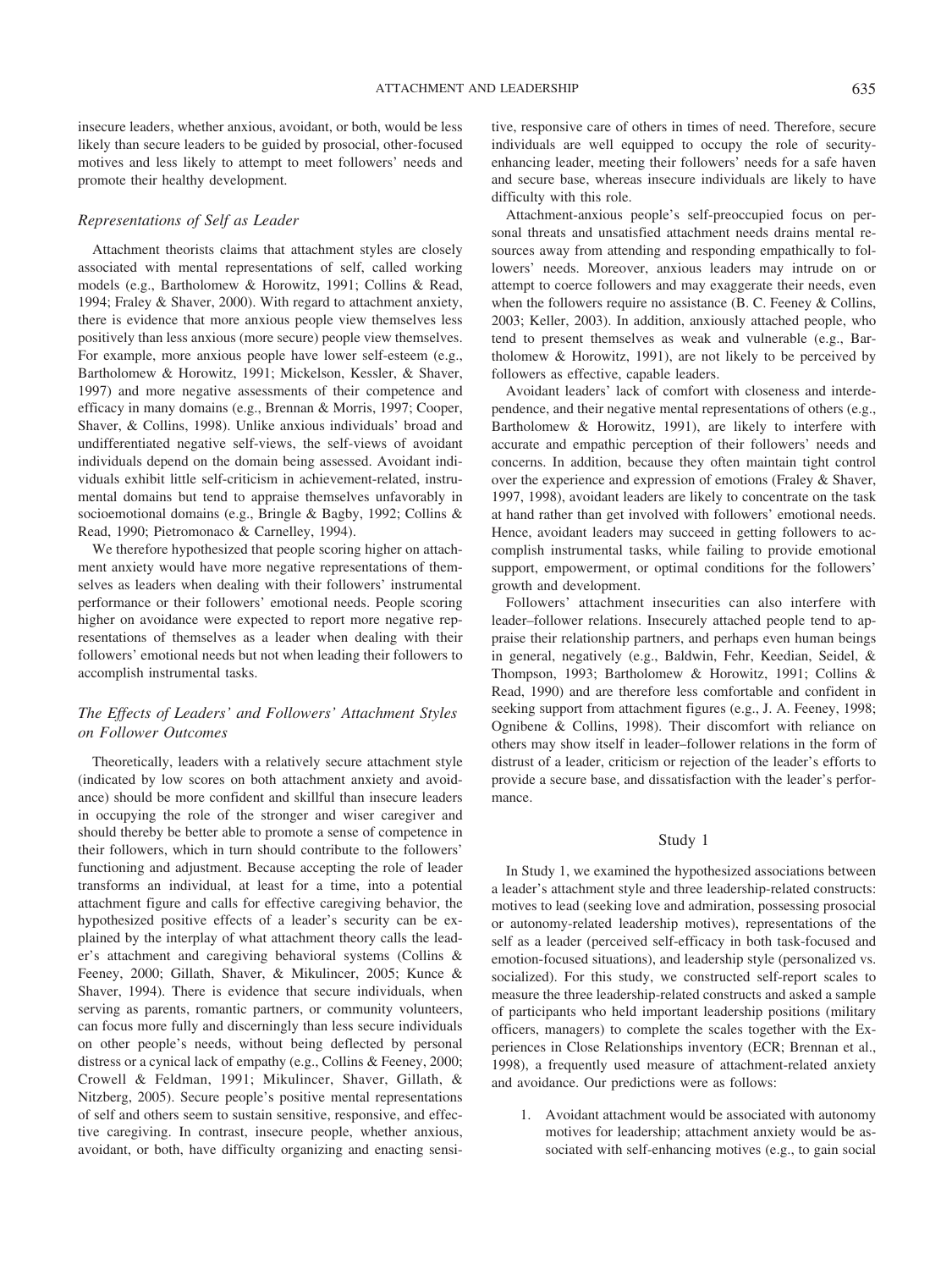insecure leaders, whether anxious, avoidant, or both, would be less likely than secure leaders to be guided by prosocial, other-focused motives and less likely to attempt to meet followers' needs and promote their healthy development.

### *Representations of Self as Leader*

Attachment theorists claims that attachment styles are closely associated with mental representations of self, called working models (e.g., Bartholomew & Horowitz, 1991; Collins & Read, 1994; Fraley & Shaver, 2000). With regard to attachment anxiety, there is evidence that more anxious people view themselves less positively than less anxious (more secure) people view themselves. For example, more anxious people have lower self-esteem (e.g., Bartholomew & Horowitz, 1991; Mickelson, Kessler, & Shaver, 1997) and more negative assessments of their competence and efficacy in many domains (e.g., Brennan & Morris, 1997; Cooper, Shaver, & Collins, 1998). Unlike anxious individuals' broad and undifferentiated negative self-views, the self-views of avoidant individuals depend on the domain being assessed. Avoidant individuals exhibit little self-criticism in achievement-related, instrumental domains but tend to appraise themselves unfavorably in socioemotional domains (e.g., Bringle & Bagby, 1992; Collins & Read, 1990; Pietromonaco & Carnelley, 1994).

We therefore hypothesized that people scoring higher on attachment anxiety would have more negative representations of themselves as leaders when dealing with their followers' instrumental performance or their followers' emotional needs. People scoring higher on avoidance were expected to report more negative representations of themselves as a leader when dealing with their followers' emotional needs but not when leading their followers to accomplish instrumental tasks.

# *The Effects of Leaders' and Followers' Attachment Styles on Follower Outcomes*

Theoretically, leaders with a relatively secure attachment style (indicated by low scores on both attachment anxiety and avoidance) should be more confident and skillful than insecure leaders in occupying the role of the stronger and wiser caregiver and should thereby be better able to promote a sense of competence in their followers, which in turn should contribute to the followers' functioning and adjustment. Because accepting the role of leader transforms an individual, at least for a time, into a potential attachment figure and calls for effective caregiving behavior, the hypothesized positive effects of a leader's security can be explained by the interplay of what attachment theory calls the leader's attachment and caregiving behavioral systems (Collins & Feeney, 2000; Gillath, Shaver, & Mikulincer, 2005; Kunce & Shaver, 1994). There is evidence that secure individuals, when serving as parents, romantic partners, or community volunteers, can focus more fully and discerningly than less secure individuals on other people's needs, without being deflected by personal distress or a cynical lack of empathy (e.g., Collins & Feeney, 2000; Crowell & Feldman, 1991; Mikulincer, Shaver, Gillath, & Nitzberg, 2005). Secure people's positive mental representations of self and others seem to sustain sensitive, responsive, and effective caregiving. In contrast, insecure people, whether anxious, avoidant, or both, have difficulty organizing and enacting sensitive, responsive care of others in times of need. Therefore, secure individuals are well equipped to occupy the role of securityenhancing leader, meeting their followers' needs for a safe haven and secure base, whereas insecure individuals are likely to have difficulty with this role.

Attachment-anxious people's self-preoccupied focus on personal threats and unsatisfied attachment needs drains mental resources away from attending and responding empathically to followers' needs. Moreover, anxious leaders may intrude on or attempt to coerce followers and may exaggerate their needs, even when the followers require no assistance (B. C. Feeney & Collins, 2003; Keller, 2003). In addition, anxiously attached people, who tend to present themselves as weak and vulnerable (e.g., Bartholomew & Horowitz, 1991), are not likely to be perceived by followers as effective, capable leaders.

Avoidant leaders' lack of comfort with closeness and interdependence, and their negative mental representations of others (e.g., Bartholomew & Horowitz, 1991), are likely to interfere with accurate and empathic perception of their followers' needs and concerns. In addition, because they often maintain tight control over the experience and expression of emotions (Fraley & Shaver, 1997, 1998), avoidant leaders are likely to concentrate on the task at hand rather than get involved with followers' emotional needs. Hence, avoidant leaders may succeed in getting followers to accomplish instrumental tasks, while failing to provide emotional support, empowerment, or optimal conditions for the followers' growth and development.

Followers' attachment insecurities can also interfere with leader–follower relations. Insecurely attached people tend to appraise their relationship partners, and perhaps even human beings in general, negatively (e.g., Baldwin, Fehr, Keedian, Seidel, & Thompson, 1993; Bartholomew & Horowitz, 1991; Collins & Read, 1990) and are therefore less comfortable and confident in seeking support from attachment figures (e.g., J. A. Feeney, 1998; Ognibene & Collins, 1998). Their discomfort with reliance on others may show itself in leader–follower relations in the form of distrust of a leader, criticism or rejection of the leader's efforts to provide a secure base, and dissatisfaction with the leader's performance.

#### Study 1

In Study 1, we examined the hypothesized associations between a leader's attachment style and three leadership-related constructs: motives to lead (seeking love and admiration, possessing prosocial or autonomy-related leadership motives), representations of the self as a leader (perceived self-efficacy in both task-focused and emotion-focused situations), and leadership style (personalized vs. socialized). For this study, we constructed self-report scales to measure the three leadership-related constructs and asked a sample of participants who held important leadership positions (military officers, managers) to complete the scales together with the Experiences in Close Relationships inventory (ECR; Brennan et al., 1998), a frequently used measure of attachment-related anxiety and avoidance. Our predictions were as follows:

1. Avoidant attachment would be associated with autonomy motives for leadership; attachment anxiety would be associated with self-enhancing motives (e.g., to gain social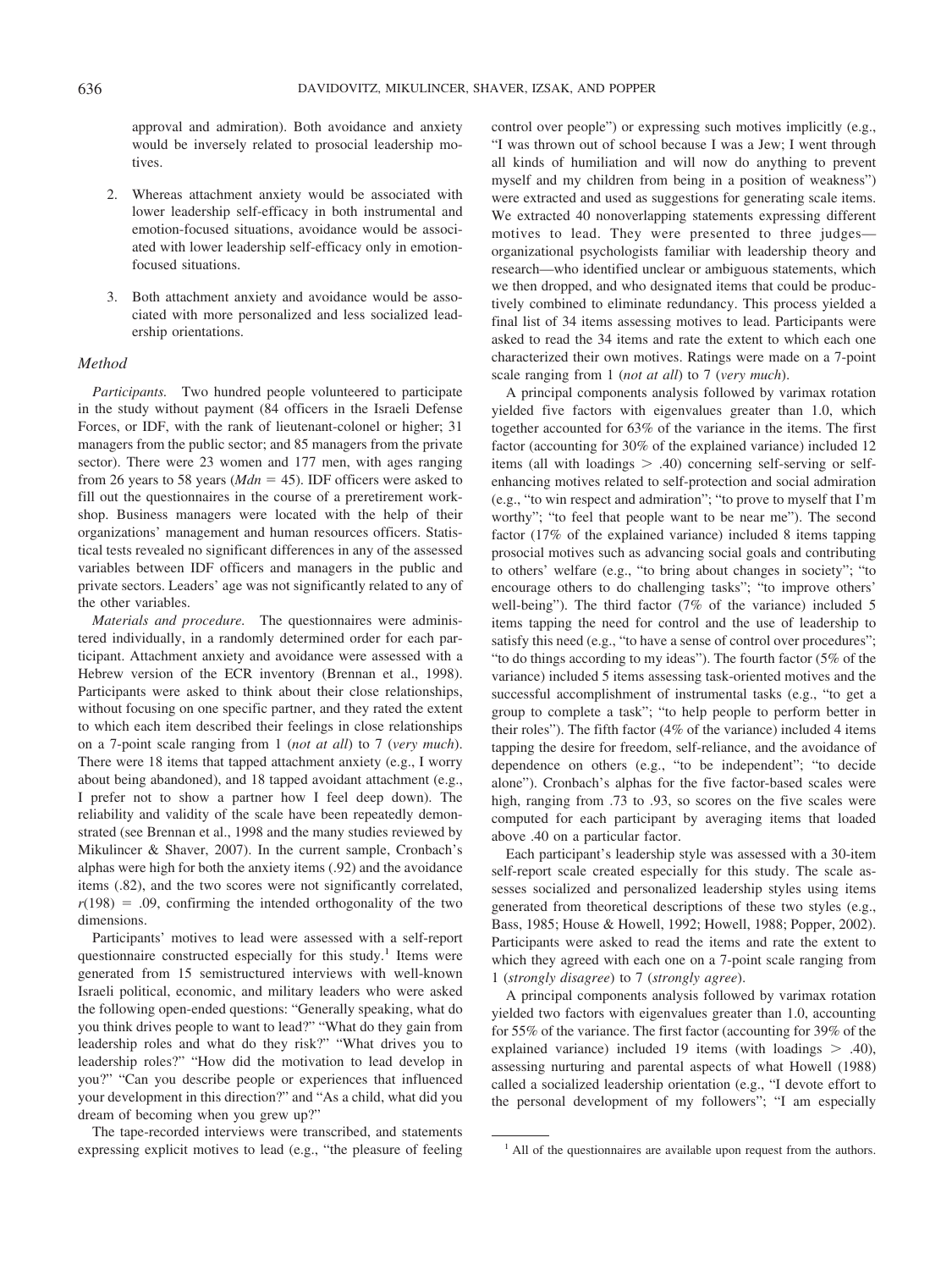approval and admiration). Both avoidance and anxiety would be inversely related to prosocial leadership motives.

- 2. Whereas attachment anxiety would be associated with lower leadership self-efficacy in both instrumental and emotion-focused situations, avoidance would be associated with lower leadership self-efficacy only in emotionfocused situations.
- 3. Both attachment anxiety and avoidance would be associated with more personalized and less socialized leadership orientations.

#### *Method*

*Participants.* Two hundred people volunteered to participate in the study without payment (84 officers in the Israeli Defense Forces, or IDF, with the rank of lieutenant-colonel or higher; 31 managers from the public sector; and 85 managers from the private sector). There were 23 women and 177 men, with ages ranging from 26 years to 58 years ( $Mdn = 45$ ). IDF officers were asked to fill out the questionnaires in the course of a preretirement workshop. Business managers were located with the help of their organizations' management and human resources officers. Statistical tests revealed no significant differences in any of the assessed variables between IDF officers and managers in the public and private sectors. Leaders' age was not significantly related to any of the other variables.

*Materials and procedure.* The questionnaires were administered individually, in a randomly determined order for each participant. Attachment anxiety and avoidance were assessed with a Hebrew version of the ECR inventory (Brennan et al., 1998). Participants were asked to think about their close relationships, without focusing on one specific partner, and they rated the extent to which each item described their feelings in close relationships on a 7-point scale ranging from 1 (*not at all*) to 7 (*very much*). There were 18 items that tapped attachment anxiety (e.g., I worry about being abandoned), and 18 tapped avoidant attachment (e.g., I prefer not to show a partner how I feel deep down). The reliability and validity of the scale have been repeatedly demonstrated (see Brennan et al., 1998 and the many studies reviewed by Mikulincer & Shaver, 2007). In the current sample, Cronbach's alphas were high for both the anxiety items (.92) and the avoidance items (.82), and the two scores were not significantly correlated,  $r(198) = .09$ , confirming the intended orthogonality of the two dimensions.

Participants' motives to lead were assessed with a self-report questionnaire constructed especially for this study.<sup>1</sup> Items were generated from 15 semistructured interviews with well-known Israeli political, economic, and military leaders who were asked the following open-ended questions: "Generally speaking, what do you think drives people to want to lead?" "What do they gain from leadership roles and what do they risk?" "What drives you to leadership roles?" "How did the motivation to lead develop in you?" "Can you describe people or experiences that influenced your development in this direction?" and "As a child, what did you dream of becoming when you grew up?"

The tape-recorded interviews were transcribed, and statements expressing explicit motives to lead (e.g., "the pleasure of feeling control over people") or expressing such motives implicitly (e.g., "I was thrown out of school because I was a Jew; I went through all kinds of humiliation and will now do anything to prevent myself and my children from being in a position of weakness") were extracted and used as suggestions for generating scale items. We extracted 40 nonoverlapping statements expressing different motives to lead. They were presented to three judges organizational psychologists familiar with leadership theory and research—who identified unclear or ambiguous statements, which we then dropped, and who designated items that could be productively combined to eliminate redundancy. This process yielded a final list of 34 items assessing motives to lead. Participants were asked to read the 34 items and rate the extent to which each one characterized their own motives. Ratings were made on a 7-point scale ranging from 1 (*not at all*) to 7 (*very much*).

A principal components analysis followed by varimax rotation yielded five factors with eigenvalues greater than 1.0, which together accounted for 63% of the variance in the items. The first factor (accounting for 30% of the explained variance) included 12 items (all with loadings  $> .40$ ) concerning self-serving or selfenhancing motives related to self-protection and social admiration (e.g., "to win respect and admiration"; "to prove to myself that I'm worthy"; "to feel that people want to be near me"). The second factor (17% of the explained variance) included 8 items tapping prosocial motives such as advancing social goals and contributing to others' welfare (e.g., "to bring about changes in society"; "to encourage others to do challenging tasks"; "to improve others' well-being"). The third factor (7% of the variance) included 5 items tapping the need for control and the use of leadership to satisfy this need (e.g., "to have a sense of control over procedures"; "to do things according to my ideas"). The fourth factor (5% of the variance) included 5 items assessing task-oriented motives and the successful accomplishment of instrumental tasks (e.g., "to get a group to complete a task"; "to help people to perform better in their roles"). The fifth factor (4% of the variance) included 4 items tapping the desire for freedom, self-reliance, and the avoidance of dependence on others (e.g., "to be independent"; "to decide alone"). Cronbach's alphas for the five factor-based scales were high, ranging from .73 to .93, so scores on the five scales were computed for each participant by averaging items that loaded above .40 on a particular factor.

Each participant's leadership style was assessed with a 30-item self-report scale created especially for this study. The scale assesses socialized and personalized leadership styles using items generated from theoretical descriptions of these two styles (e.g., Bass, 1985; House & Howell, 1992; Howell, 1988; Popper, 2002). Participants were asked to read the items and rate the extent to which they agreed with each one on a 7-point scale ranging from 1 (*strongly disagree*) to 7 (*strongly agree*).

A principal components analysis followed by varimax rotation yielded two factors with eigenvalues greater than 1.0, accounting for 55% of the variance. The first factor (accounting for 39% of the explained variance) included 19 items (with loadings  $> .40$ ), assessing nurturing and parental aspects of what Howell (1988) called a socialized leadership orientation (e.g., "I devote effort to the personal development of my followers"; "I am especially

<sup>&</sup>lt;sup>1</sup> All of the questionnaires are available upon request from the authors.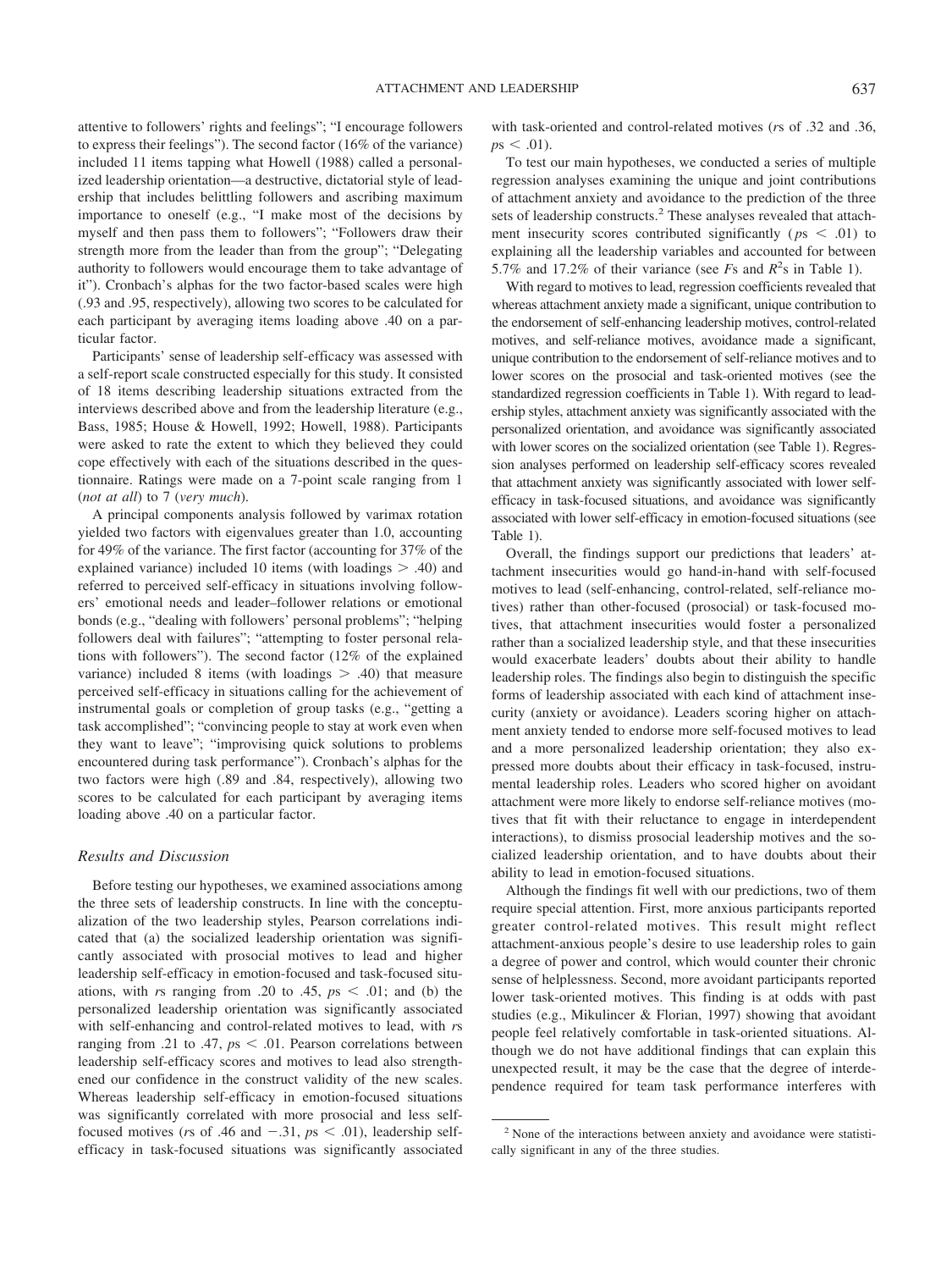attentive to followers' rights and feelings"; "I encourage followers to express their feelings"). The second factor (16% of the variance) included 11 items tapping what Howell (1988) called a personalized leadership orientation—a destructive, dictatorial style of leadership that includes belittling followers and ascribing maximum importance to oneself (e.g., "I make most of the decisions by myself and then pass them to followers"; "Followers draw their strength more from the leader than from the group"; "Delegating authority to followers would encourage them to take advantage of it"). Cronbach's alphas for the two factor-based scales were high (.93 and .95, respectively), allowing two scores to be calculated for each participant by averaging items loading above .40 on a particular factor.

Participants' sense of leadership self-efficacy was assessed with a self-report scale constructed especially for this study. It consisted of 18 items describing leadership situations extracted from the interviews described above and from the leadership literature (e.g., Bass, 1985; House & Howell, 1992; Howell, 1988). Participants were asked to rate the extent to which they believed they could cope effectively with each of the situations described in the questionnaire. Ratings were made on a 7-point scale ranging from 1 (*not at all*) to 7 (*very much*).

A principal components analysis followed by varimax rotation yielded two factors with eigenvalues greater than 1.0, accounting for 49% of the variance. The first factor (accounting for 37% of the explained variance) included 10 items (with loadings  $> .40$ ) and referred to perceived self-efficacy in situations involving followers' emotional needs and leader–follower relations or emotional bonds (e.g., "dealing with followers' personal problems"; "helping followers deal with failures"; "attempting to foster personal relations with followers"). The second factor (12% of the explained variance) included 8 items (with loadings  $> .40$ ) that measure perceived self-efficacy in situations calling for the achievement of instrumental goals or completion of group tasks (e.g., "getting a task accomplished"; "convincing people to stay at work even when they want to leave"; "improvising quick solutions to problems encountered during task performance"). Cronbach's alphas for the two factors were high (.89 and .84, respectively), allowing two scores to be calculated for each participant by averaging items loading above .40 on a particular factor.

# *Results and Discussion*

Before testing our hypotheses, we examined associations among the three sets of leadership constructs. In line with the conceptualization of the two leadership styles, Pearson correlations indicated that (a) the socialized leadership orientation was significantly associated with prosocial motives to lead and higher leadership self-efficacy in emotion-focused and task-focused situations, with *rs* ranging from .20 to .45,  $p_s < .01$ ; and (b) the personalized leadership orientation was significantly associated with self-enhancing and control-related motives to lead, with *r*s ranging from .21 to .47,  $ps < .01$ . Pearson correlations between leadership self-efficacy scores and motives to lead also strengthened our confidence in the construct validity of the new scales. Whereas leadership self-efficacy in emotion-focused situations was significantly correlated with more prosocial and less selffocused motives (*rs* of .46 and  $-.31$ ,  $ps < .01$ ), leadership selfefficacy in task-focused situations was significantly associated

with task-oriented and control-related motives (*r*s of .32 and .36,  $p s < .01$ ).

To test our main hypotheses, we conducted a series of multiple regression analyses examining the unique and joint contributions of attachment anxiety and avoidance to the prediction of the three sets of leadership constructs.<sup>2</sup> These analyses revealed that attachment insecurity scores contributed significantly ( $p_s < .01$ ) to explaining all the leadership variables and accounted for between 5.7% and 17.2% of their variance (see  $Fs$  and  $R^2$ s in Table 1).

With regard to motives to lead, regression coefficients revealed that whereas attachment anxiety made a significant, unique contribution to the endorsement of self-enhancing leadership motives, control-related motives, and self-reliance motives, avoidance made a significant, unique contribution to the endorsement of self-reliance motives and to lower scores on the prosocial and task-oriented motives (see the standardized regression coefficients in Table 1). With regard to leadership styles, attachment anxiety was significantly associated with the personalized orientation, and avoidance was significantly associated with lower scores on the socialized orientation (see Table 1). Regression analyses performed on leadership self-efficacy scores revealed that attachment anxiety was significantly associated with lower selfefficacy in task-focused situations, and avoidance was significantly associated with lower self-efficacy in emotion-focused situations (see Table 1).

Overall, the findings support our predictions that leaders' attachment insecurities would go hand-in-hand with self-focused motives to lead (self-enhancing, control-related, self-reliance motives) rather than other-focused (prosocial) or task-focused motives, that attachment insecurities would foster a personalized rather than a socialized leadership style, and that these insecurities would exacerbate leaders' doubts about their ability to handle leadership roles. The findings also begin to distinguish the specific forms of leadership associated with each kind of attachment insecurity (anxiety or avoidance). Leaders scoring higher on attachment anxiety tended to endorse more self-focused motives to lead and a more personalized leadership orientation; they also expressed more doubts about their efficacy in task-focused, instrumental leadership roles. Leaders who scored higher on avoidant attachment were more likely to endorse self-reliance motives (motives that fit with their reluctance to engage in interdependent interactions), to dismiss prosocial leadership motives and the socialized leadership orientation, and to have doubts about their ability to lead in emotion-focused situations.

Although the findings fit well with our predictions, two of them require special attention. First, more anxious participants reported greater control-related motives. This result might reflect attachment-anxious people's desire to use leadership roles to gain a degree of power and control, which would counter their chronic sense of helplessness. Second, more avoidant participants reported lower task-oriented motives. This finding is at odds with past studies (e.g., Mikulincer & Florian, 1997) showing that avoidant people feel relatively comfortable in task-oriented situations. Although we do not have additional findings that can explain this unexpected result, it may be the case that the degree of interdependence required for team task performance interferes with

<sup>&</sup>lt;sup>2</sup> None of the interactions between anxiety and avoidance were statistically significant in any of the three studies.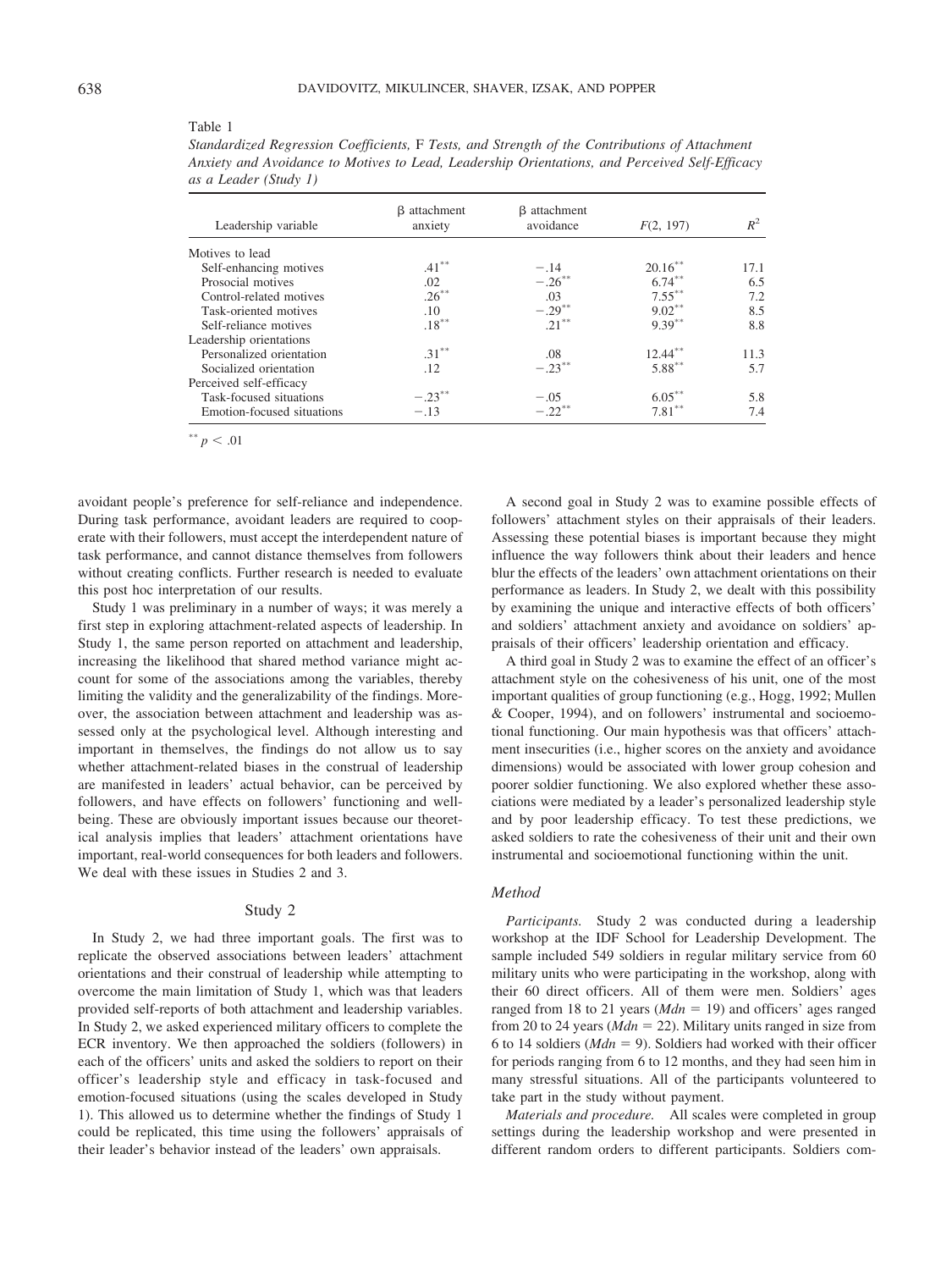#### Table 1

*Standardized Regression Coefficients,* F *Tests, and Strength of the Contributions of Attachment Anxiety and Avoidance to Motives to Lead, Leadership Orientations, and Perceived Self-Efficacy as a Leader (Study 1)*

| Leadership variable        | β attachment<br>anxiety | β attachment<br>avoidance | F(2, 197)             | $R^2$ |
|----------------------------|-------------------------|---------------------------|-----------------------|-------|
| Motives to lead            |                         |                           |                       |       |
| Self-enhancing motives     | $.41***$                | $-.14$                    | $20.16***$            | 17.1  |
| Prosocial motives          | .02                     | $-.26***$                 | $6.74***$             | 6.5   |
| Control-related motives    | $.26***$                | .03                       | $7.55***$             | 7.2   |
| Task-oriented motives      | .10                     | $-.29***$                 | $9.02***$             | 8.5   |
| Self-reliance motives      | $.18***$                | $.21***$                  | $9.39***$             | 8.8   |
| Leadership orientations    |                         |                           |                       |       |
| Personalized orientation   | $.31***$                | .08                       | $12.44$ <sup>**</sup> | 11.3  |
| Socialized orientation     | .12                     | $-.23***$                 | $5.88***$             | 5.7   |
| Perceived self-efficacy    |                         |                           |                       |       |
| Task-focused situations    | $-.23***$               | $-.05$                    | $6.05***$             | 5.8   |
| Emotion-focused situations | $-.13$                  | $-.22***$                 | $7.81***$             | 7.4   |

$$
^{**}p < .01
$$

avoidant people's preference for self-reliance and independence. During task performance, avoidant leaders are required to cooperate with their followers, must accept the interdependent nature of task performance, and cannot distance themselves from followers without creating conflicts. Further research is needed to evaluate this post hoc interpretation of our results.

Study 1 was preliminary in a number of ways; it was merely a first step in exploring attachment-related aspects of leadership. In Study 1, the same person reported on attachment and leadership, increasing the likelihood that shared method variance might account for some of the associations among the variables, thereby limiting the validity and the generalizability of the findings. Moreover, the association between attachment and leadership was assessed only at the psychological level. Although interesting and important in themselves, the findings do not allow us to say whether attachment-related biases in the construal of leadership are manifested in leaders' actual behavior, can be perceived by followers, and have effects on followers' functioning and wellbeing. These are obviously important issues because our theoretical analysis implies that leaders' attachment orientations have important, real-world consequences for both leaders and followers. We deal with these issues in Studies 2 and 3.

#### Study 2

In Study 2, we had three important goals. The first was to replicate the observed associations between leaders' attachment orientations and their construal of leadership while attempting to overcome the main limitation of Study 1, which was that leaders provided self-reports of both attachment and leadership variables. In Study 2, we asked experienced military officers to complete the ECR inventory. We then approached the soldiers (followers) in each of the officers' units and asked the soldiers to report on their officer's leadership style and efficacy in task-focused and emotion-focused situations (using the scales developed in Study 1). This allowed us to determine whether the findings of Study 1 could be replicated, this time using the followers' appraisals of their leader's behavior instead of the leaders' own appraisals.

A second goal in Study 2 was to examine possible effects of followers' attachment styles on their appraisals of their leaders. Assessing these potential biases is important because they might influence the way followers think about their leaders and hence blur the effects of the leaders' own attachment orientations on their performance as leaders. In Study 2, we dealt with this possibility by examining the unique and interactive effects of both officers' and soldiers' attachment anxiety and avoidance on soldiers' appraisals of their officers' leadership orientation and efficacy.

A third goal in Study 2 was to examine the effect of an officer's attachment style on the cohesiveness of his unit, one of the most important qualities of group functioning (e.g., Hogg, 1992; Mullen & Cooper, 1994), and on followers' instrumental and socioemotional functioning. Our main hypothesis was that officers' attachment insecurities (i.e., higher scores on the anxiety and avoidance dimensions) would be associated with lower group cohesion and poorer soldier functioning. We also explored whether these associations were mediated by a leader's personalized leadership style and by poor leadership efficacy. To test these predictions, we asked soldiers to rate the cohesiveness of their unit and their own instrumental and socioemotional functioning within the unit.

#### *Method*

*Participants.* Study 2 was conducted during a leadership workshop at the IDF School for Leadership Development. The sample included 549 soldiers in regular military service from 60 military units who were participating in the workshop, along with their 60 direct officers. All of them were men. Soldiers' ages ranged from 18 to 21 years ( $Mdn = 19$ ) and officers' ages ranged from 20 to 24 years ( $Mdn = 22$ ). Military units ranged in size from 6 to 14 soldiers ( $Mdn = 9$ ). Soldiers had worked with their officer for periods ranging from 6 to 12 months, and they had seen him in many stressful situations. All of the participants volunteered to take part in the study without payment.

*Materials and procedure.* All scales were completed in group settings during the leadership workshop and were presented in different random orders to different participants. Soldiers com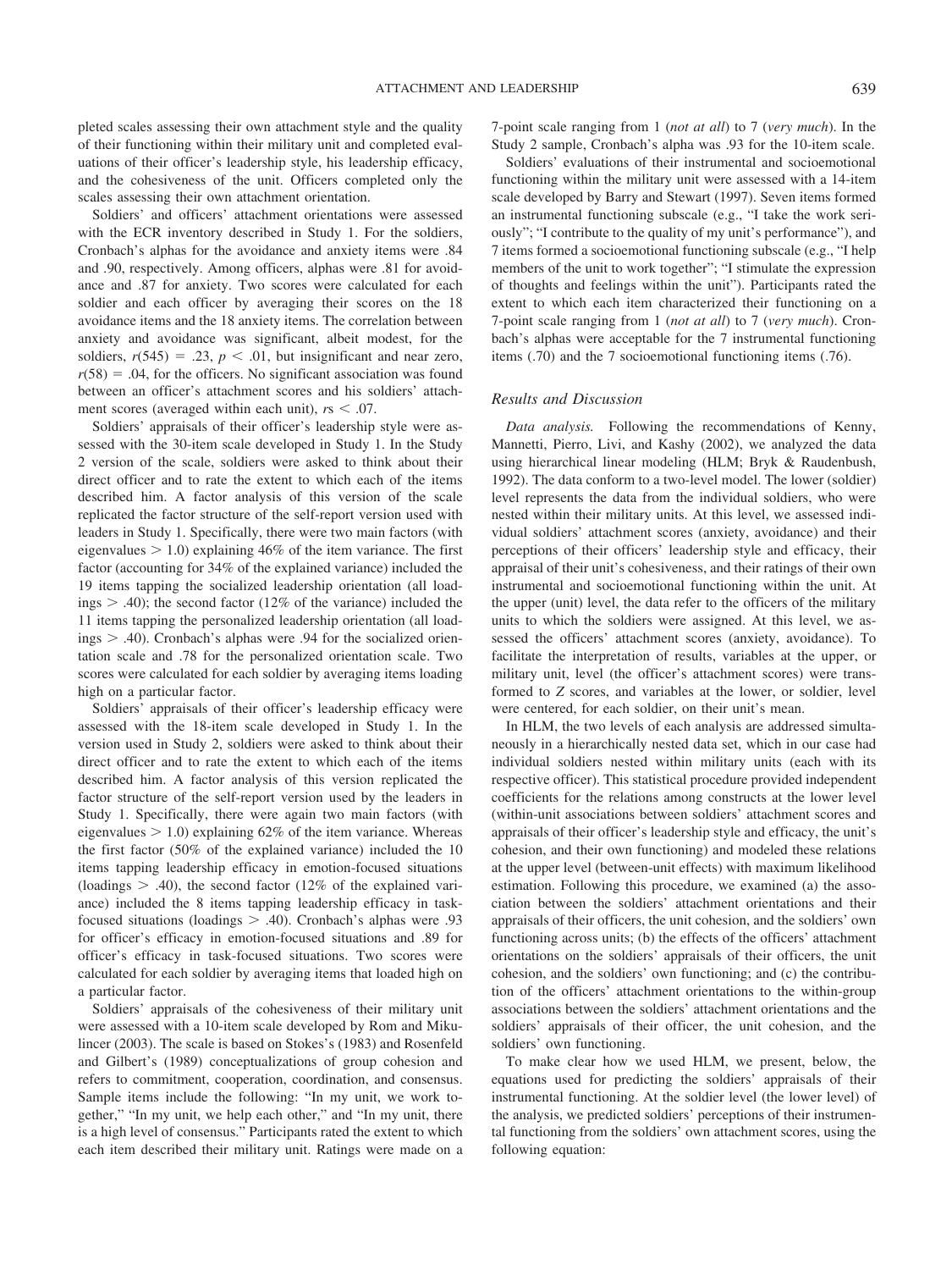pleted scales assessing their own attachment style and the quality of their functioning within their military unit and completed evaluations of their officer's leadership style, his leadership efficacy, and the cohesiveness of the unit. Officers completed only the scales assessing their own attachment orientation.

Soldiers' and officers' attachment orientations were assessed with the ECR inventory described in Study 1. For the soldiers, Cronbach's alphas for the avoidance and anxiety items were .84 and .90, respectively. Among officers, alphas were .81 for avoidance and .87 for anxiety. Two scores were calculated for each soldier and each officer by averaging their scores on the 18 avoidance items and the 18 anxiety items. The correlation between anxiety and avoidance was significant, albeit modest, for the soldiers,  $r(545) = .23$ ,  $p < .01$ , but insignificant and near zero,  $r(58) = .04$ , for the officers. No significant association was found between an officer's attachment scores and his soldiers' attachment scores (averaged within each unit),  $rs < .07$ .

Soldiers' appraisals of their officer's leadership style were assessed with the 30-item scale developed in Study 1. In the Study 2 version of the scale, soldiers were asked to think about their direct officer and to rate the extent to which each of the items described him. A factor analysis of this version of the scale replicated the factor structure of the self-report version used with leaders in Study 1. Specifically, there were two main factors (with eigenvalues  $> 1.0$ ) explaining 46% of the item variance. The first factor (accounting for 34% of the explained variance) included the 19 items tapping the socialized leadership orientation (all loadings  $> 0.40$ ; the second factor (12% of the variance) included the 11 items tapping the personalized leadership orientation (all load $ings > .40$ ). Cronbach's alphas were  $.94$  for the socialized orientation scale and .78 for the personalized orientation scale. Two scores were calculated for each soldier by averaging items loading high on a particular factor.

Soldiers' appraisals of their officer's leadership efficacy were assessed with the 18-item scale developed in Study 1. In the version used in Study 2, soldiers were asked to think about their direct officer and to rate the extent to which each of the items described him. A factor analysis of this version replicated the factor structure of the self-report version used by the leaders in Study 1. Specifically, there were again two main factors (with eigenvalues  $> 1.0$ ) explaining 62% of the item variance. Whereas the first factor (50% of the explained variance) included the 10 items tapping leadership efficacy in emotion-focused situations (loadings  $> .40$ ), the second factor (12% of the explained variance) included the 8 items tapping leadership efficacy in taskfocused situations (loadings > .40). Cronbach's alphas were .93 for officer's efficacy in emotion-focused situations and .89 for officer's efficacy in task-focused situations. Two scores were calculated for each soldier by averaging items that loaded high on a particular factor.

Soldiers' appraisals of the cohesiveness of their military unit were assessed with a 10-item scale developed by Rom and Mikulincer (2003). The scale is based on Stokes's (1983) and Rosenfeld and Gilbert's (1989) conceptualizations of group cohesion and refers to commitment, cooperation, coordination, and consensus. Sample items include the following: "In my unit, we work together," "In my unit, we help each other," and "In my unit, there is a high level of consensus." Participants rated the extent to which each item described their military unit. Ratings were made on a

7-point scale ranging from 1 (*not at all*) to 7 (*very much*). In the Study 2 sample, Cronbach's alpha was .93 for the 10-item scale.

Soldiers' evaluations of their instrumental and socioemotional functioning within the military unit were assessed with a 14-item scale developed by Barry and Stewart (1997). Seven items formed an instrumental functioning subscale (e.g., "I take the work seriously"; "I contribute to the quality of my unit's performance"), and 7 items formed a socioemotional functioning subscale (e.g., "I help members of the unit to work together"; "I stimulate the expression of thoughts and feelings within the unit"). Participants rated the extent to which each item characterized their functioning on a 7-point scale ranging from 1 (*not at all*) to 7 (*very much*). Cronbach's alphas were acceptable for the 7 instrumental functioning items (.70) and the 7 socioemotional functioning items (.76).

## *Results and Discussion*

*Data analysis.* Following the recommendations of Kenny, Mannetti, Pierro, Livi, and Kashy (2002), we analyzed the data using hierarchical linear modeling (HLM; Bryk & Raudenbush, 1992). The data conform to a two-level model. The lower (soldier) level represents the data from the individual soldiers, who were nested within their military units. At this level, we assessed individual soldiers' attachment scores (anxiety, avoidance) and their perceptions of their officers' leadership style and efficacy, their appraisal of their unit's cohesiveness, and their ratings of their own instrumental and socioemotional functioning within the unit. At the upper (unit) level, the data refer to the officers of the military units to which the soldiers were assigned. At this level, we assessed the officers' attachment scores (anxiety, avoidance). To facilitate the interpretation of results, variables at the upper, or military unit, level (the officer's attachment scores) were transformed to *Z* scores, and variables at the lower, or soldier, level were centered, for each soldier, on their unit's mean.

In HLM, the two levels of each analysis are addressed simultaneously in a hierarchically nested data set, which in our case had individual soldiers nested within military units (each with its respective officer). This statistical procedure provided independent coefficients for the relations among constructs at the lower level (within-unit associations between soldiers' attachment scores and appraisals of their officer's leadership style and efficacy, the unit's cohesion, and their own functioning) and modeled these relations at the upper level (between-unit effects) with maximum likelihood estimation. Following this procedure, we examined (a) the association between the soldiers' attachment orientations and their appraisals of their officers, the unit cohesion, and the soldiers' own functioning across units; (b) the effects of the officers' attachment orientations on the soldiers' appraisals of their officers, the unit cohesion, and the soldiers' own functioning; and (c) the contribution of the officers' attachment orientations to the within-group associations between the soldiers' attachment orientations and the soldiers' appraisals of their officer, the unit cohesion, and the soldiers' own functioning.

To make clear how we used HLM, we present, below, the equations used for predicting the soldiers' appraisals of their instrumental functioning. At the soldier level (the lower level) of the analysis, we predicted soldiers' perceptions of their instrumental functioning from the soldiers' own attachment scores, using the following equation: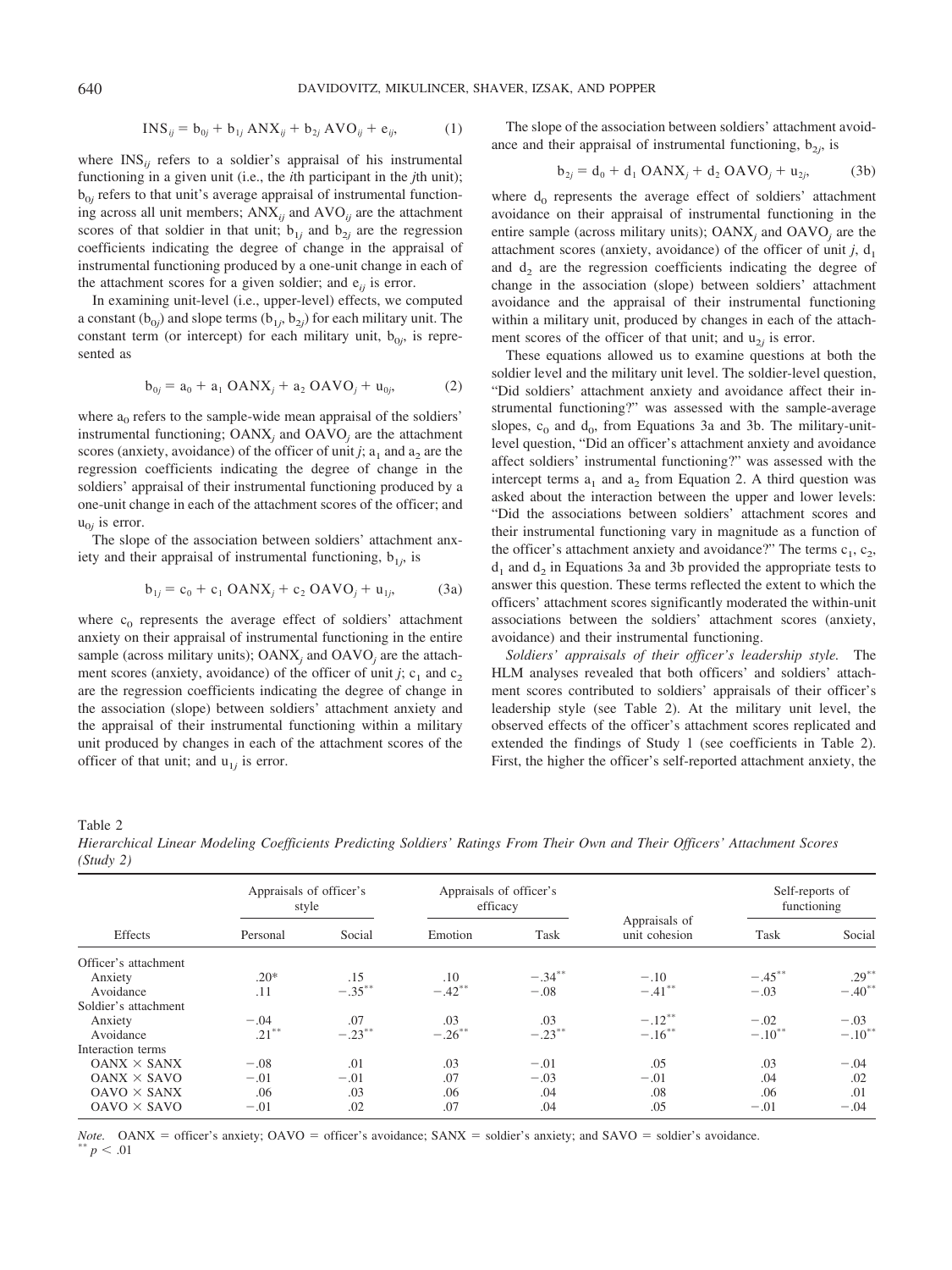$$
INS_{ij} = b_{0j} + b_{1j} ANX_{ij} + b_{2j} AVO_{ij} + e_{ij},
$$
 (1)

where  $INS_{ii}$  refers to a soldier's appraisal of his instrumental functioning in a given unit (i.e., the *i*th participant in the *j*th unit);  $b_{0i}$  refers to that unit's average appraisal of instrumental functioning across all unit members; ANX*ij* and AVO*ij* are the attachment scores of that soldier in that unit;  $b_{1j}$  and  $b_{2j}$  are the regression coefficients indicating the degree of change in the appraisal of instrumental functioning produced by a one-unit change in each of the attachment scores for a given soldier; and  $e_{ij}$  is error.

In examining unit-level (i.e., upper-level) effects, we computed a constant  $(b_{0j})$  and slope terms  $(b_{1j}, b_{2j})$  for each military unit. The constant term (or intercept) for each military unit,  $b_{0j}$ , is represented as

$$
b_{0j} = a_0 + a_1 \text{ OANX}_j + a_2 \text{ OAVO}_j + u_{0j}, \tag{2}
$$

where  $a_0$  refers to the sample-wide mean appraisal of the soldiers' instrumental functioning; OANX*<sup>j</sup>* and OAVO*<sup>j</sup>* are the attachment scores (anxiety, avoidance) of the officer of unit  $j$ ;  $a_1$  and  $a_2$  are the regression coefficients indicating the degree of change in the soldiers' appraisal of their instrumental functioning produced by a one-unit change in each of the attachment scores of the officer; and  $u_{0j}$  is error.

The slope of the association between soldiers' attachment anxiety and their appraisal of instrumental functioning,  $b_{1j}$ , is

$$
b_{1j} = c_0 + c_1 \text{ OANX}_j + c_2 \text{ OAVO}_j + u_{1j}, \quad (3a)
$$

where  $c_0$  represents the average effect of soldiers' attachment anxiety on their appraisal of instrumental functioning in the entire sample (across military units); OANX*<sup>j</sup>* and OAVO*<sup>j</sup>* are the attachment scores (anxiety, avoidance) of the officer of unit *j*;  $c_1$  and  $c_2$ are the regression coefficients indicating the degree of change in the association (slope) between soldiers' attachment anxiety and the appraisal of their instrumental functioning within a military unit produced by changes in each of the attachment scores of the officer of that unit; and  $u_{1i}$  is error.

The slope of the association between soldiers' attachment avoidance and their appraisal of instrumental functioning,  $b_{2j}$ , is

$$
b_{2j} = d_0 + d_1 \text{ OANX}_j + d_2 \text{ OAVO}_j + u_{2j},
$$
 (3b)

where  $d_0$  represents the average effect of soldiers' attachment avoidance on their appraisal of instrumental functioning in the entire sample (across military units); OANX*<sup>j</sup>* and OAVO*<sup>j</sup>* are the attachment scores (anxiety, avoidance) of the officer of unit  $j$ ,  $d_1$ and  $d<sub>2</sub>$  are the regression coefficients indicating the degree of change in the association (slope) between soldiers' attachment avoidance and the appraisal of their instrumental functioning within a military unit, produced by changes in each of the attachment scores of the officer of that unit; and  $u_{2i}$  is error.

These equations allowed us to examine questions at both the soldier level and the military unit level. The soldier-level question, "Did soldiers' attachment anxiety and avoidance affect their instrumental functioning?" was assessed with the sample-average slopes,  $c_0$  and  $d_0$ , from Equations 3a and 3b. The military-unitlevel question, "Did an officer's attachment anxiety and avoidance affect soldiers' instrumental functioning?" was assessed with the intercept terms  $a_1$  and  $a_2$  from Equation 2. A third question was asked about the interaction between the upper and lower levels: "Did the associations between soldiers' attachment scores and their instrumental functioning vary in magnitude as a function of the officer's attachment anxiety and avoidance?" The terms  $c_1, c_2$ ,  $d_1$  and  $d_2$  in Equations 3a and 3b provided the appropriate tests to answer this question. These terms reflected the extent to which the officers' attachment scores significantly moderated the within-unit associations between the soldiers' attachment scores (anxiety, avoidance) and their instrumental functioning.

*Soldiers' appraisals of their officer's leadership style.* The HLM analyses revealed that both officers' and soldiers' attachment scores contributed to soldiers' appraisals of their officer's leadership style (see Table 2). At the military unit level, the observed effects of the officer's attachment scores replicated and extended the findings of Study 1 (see coefficients in Table 2). First, the higher the officer's self-reported attachment anxiety, the

Table 2

*Hierarchical Linear Modeling Coefficients Predicting Soldiers' Ratings From Their Own and Their Officers' Attachment Scores (Study 2)*

| Effects              | Appraisals of officer's<br>style |           | Appraisals of officer's<br>efficacy |           |                                | Self-reports of<br>functioning |             |
|----------------------|----------------------------------|-----------|-------------------------------------|-----------|--------------------------------|--------------------------------|-------------|
|                      | Personal                         | Social    | Emotion                             | Task      | Appraisals of<br>unit cohesion | Task                           | Social      |
| Officer's attachment |                                  |           |                                     |           |                                |                                |             |
| Anxiety              | $.20*$                           | .15       | .10                                 | $-.34***$ | $-.10$                         | $-.45***$                      | $.29***$    |
| Avoidance            | .11                              | $-.35***$ | $-.42**$                            | $-.08$    | $-.41***$                      | $-.03$                         | $-.40**$    |
| Soldier's attachment |                                  |           |                                     |           |                                |                                |             |
| Anxiety              | $-.04$                           | .07       | .03                                 | .03       | $-.12**$                       | $-.02$                         | $-.03$      |
| Avoidance            | $21***$                          | $-.23***$ | $-.26***$                           | $-.23***$ | $-.16***$                      | $-.10^{**}$                    | $-.10^{**}$ |
| Interaction terms    |                                  |           |                                     |           |                                |                                |             |
| $OANX \times SANX$   | $-.08$                           | .01       | .03                                 | $-.01$    | .05                            | .03                            | $-.04$      |
| $OANX \times SAVO$   | $-.01$                           | $-.01$    | .07                                 | $-.03$    | $-.01$                         | .04                            | .02         |
| $OAVO \times SANK$   | .06                              | .03       | .06                                 | .04       | .08                            | .06                            | .01         |
| $OAVO \times SAVO$   | $-.01$                           | .02       | .07                                 | .04       | .05                            | $-.01$                         | $-.04$      |

*Note.* OANX = officer's anxiety; OAVO = officer's avoidance; SANX = soldier's anxiety; and SAVO = soldier's avoidance.  $* p < .01$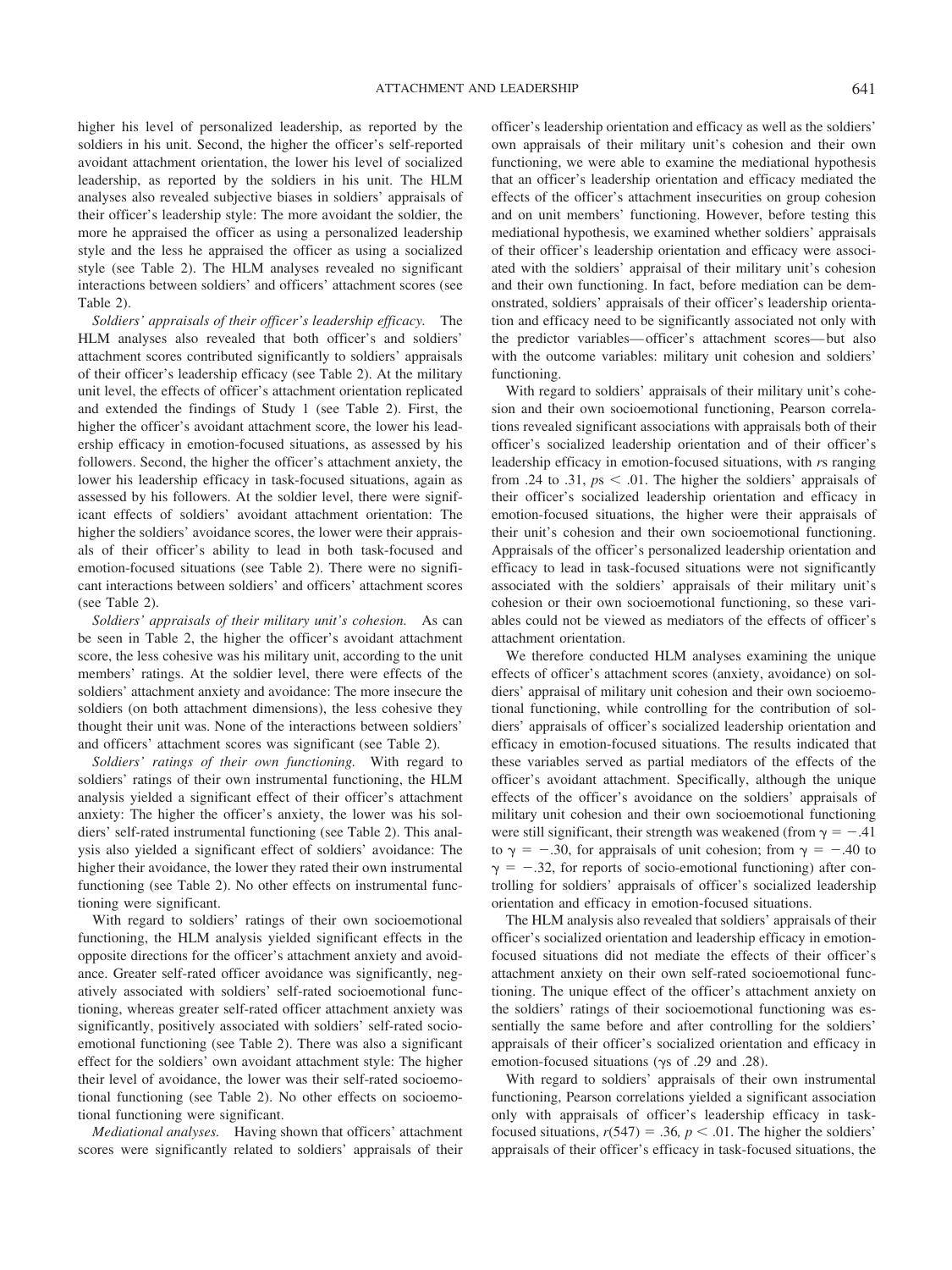higher his level of personalized leadership, as reported by the soldiers in his unit. Second, the higher the officer's self-reported avoidant attachment orientation, the lower his level of socialized leadership, as reported by the soldiers in his unit. The HLM analyses also revealed subjective biases in soldiers' appraisals of their officer's leadership style: The more avoidant the soldier, the more he appraised the officer as using a personalized leadership style and the less he appraised the officer as using a socialized style (see Table 2). The HLM analyses revealed no significant interactions between soldiers' and officers' attachment scores (see Table 2).

*Soldiers' appraisals of their officer's leadership efficacy.* The HLM analyses also revealed that both officer's and soldiers' attachment scores contributed significantly to soldiers' appraisals of their officer's leadership efficacy (see Table 2). At the military unit level, the effects of officer's attachment orientation replicated and extended the findings of Study 1 (see Table 2). First, the higher the officer's avoidant attachment score, the lower his leadership efficacy in emotion-focused situations, as assessed by his followers. Second, the higher the officer's attachment anxiety, the lower his leadership efficacy in task-focused situations, again as assessed by his followers. At the soldier level, there were significant effects of soldiers' avoidant attachment orientation: The higher the soldiers' avoidance scores, the lower were their appraisals of their officer's ability to lead in both task-focused and emotion-focused situations (see Table 2). There were no significant interactions between soldiers' and officers' attachment scores (see Table 2).

*Soldiers' appraisals of their military unit's cohesion.* As can be seen in Table 2, the higher the officer's avoidant attachment score, the less cohesive was his military unit, according to the unit members' ratings. At the soldier level, there were effects of the soldiers' attachment anxiety and avoidance: The more insecure the soldiers (on both attachment dimensions), the less cohesive they thought their unit was. None of the interactions between soldiers' and officers' attachment scores was significant (see Table 2).

*Soldiers' ratings of their own functioning.* With regard to soldiers' ratings of their own instrumental functioning, the HLM analysis yielded a significant effect of their officer's attachment anxiety: The higher the officer's anxiety, the lower was his soldiers' self-rated instrumental functioning (see Table 2). This analysis also yielded a significant effect of soldiers' avoidance: The higher their avoidance, the lower they rated their own instrumental functioning (see Table 2). No other effects on instrumental functioning were significant.

With regard to soldiers' ratings of their own socioemotional functioning, the HLM analysis yielded significant effects in the opposite directions for the officer's attachment anxiety and avoidance. Greater self-rated officer avoidance was significantly, negatively associated with soldiers' self-rated socioemotional functioning, whereas greater self-rated officer attachment anxiety was significantly, positively associated with soldiers' self-rated socioemotional functioning (see Table 2). There was also a significant effect for the soldiers' own avoidant attachment style: The higher their level of avoidance, the lower was their self-rated socioemotional functioning (see Table 2). No other effects on socioemotional functioning were significant.

*Mediational analyses.* Having shown that officers' attachment scores were significantly related to soldiers' appraisals of their officer's leadership orientation and efficacy as well as the soldiers' own appraisals of their military unit's cohesion and their own functioning, we were able to examine the mediational hypothesis that an officer's leadership orientation and efficacy mediated the effects of the officer's attachment insecurities on group cohesion and on unit members' functioning. However, before testing this mediational hypothesis, we examined whether soldiers' appraisals of their officer's leadership orientation and efficacy were associated with the soldiers' appraisal of their military unit's cohesion and their own functioning. In fact, before mediation can be demonstrated, soldiers' appraisals of their officer's leadership orientation and efficacy need to be significantly associated not only with the predictor variables— officer's attachment scores— but also with the outcome variables: military unit cohesion and soldiers' functioning.

With regard to soldiers' appraisals of their military unit's cohesion and their own socioemotional functioning, Pearson correlations revealed significant associations with appraisals both of their officer's socialized leadership orientation and of their officer's leadership efficacy in emotion-focused situations, with *r*s ranging from .24 to .31,  $ps < .01$ . The higher the soldiers' appraisals of their officer's socialized leadership orientation and efficacy in emotion-focused situations, the higher were their appraisals of their unit's cohesion and their own socioemotional functioning. Appraisals of the officer's personalized leadership orientation and efficacy to lead in task-focused situations were not significantly associated with the soldiers' appraisals of their military unit's cohesion or their own socioemotional functioning, so these variables could not be viewed as mediators of the effects of officer's attachment orientation.

We therefore conducted HLM analyses examining the unique effects of officer's attachment scores (anxiety, avoidance) on soldiers' appraisal of military unit cohesion and their own socioemotional functioning, while controlling for the contribution of soldiers' appraisals of officer's socialized leadership orientation and efficacy in emotion-focused situations. The results indicated that these variables served as partial mediators of the effects of the officer's avoidant attachment. Specifically, although the unique effects of the officer's avoidance on the soldiers' appraisals of military unit cohesion and their own socioemotional functioning were still significant, their strength was weakened (from  $\gamma = -.41$ ) to  $\gamma = -.30$ , for appraisals of unit cohesion; from  $\gamma = -.40$  to  $y = -.32$ , for reports of socio-emotional functioning) after controlling for soldiers' appraisals of officer's socialized leadership orientation and efficacy in emotion-focused situations.

The HLM analysis also revealed that soldiers' appraisals of their officer's socialized orientation and leadership efficacy in emotionfocused situations did not mediate the effects of their officer's attachment anxiety on their own self-rated socioemotional functioning. The unique effect of the officer's attachment anxiety on the soldiers' ratings of their socioemotional functioning was essentially the same before and after controlling for the soldiers' appraisals of their officer's socialized orientation and efficacy in emotion-focused situations ( $\gamma s$  of .29 and .28).

With regard to soldiers' appraisals of their own instrumental functioning, Pearson correlations yielded a significant association only with appraisals of officer's leadership efficacy in taskfocused situations,  $r(547) = .36$ ,  $p < .01$ . The higher the soldiers' appraisals of their officer's efficacy in task-focused situations, the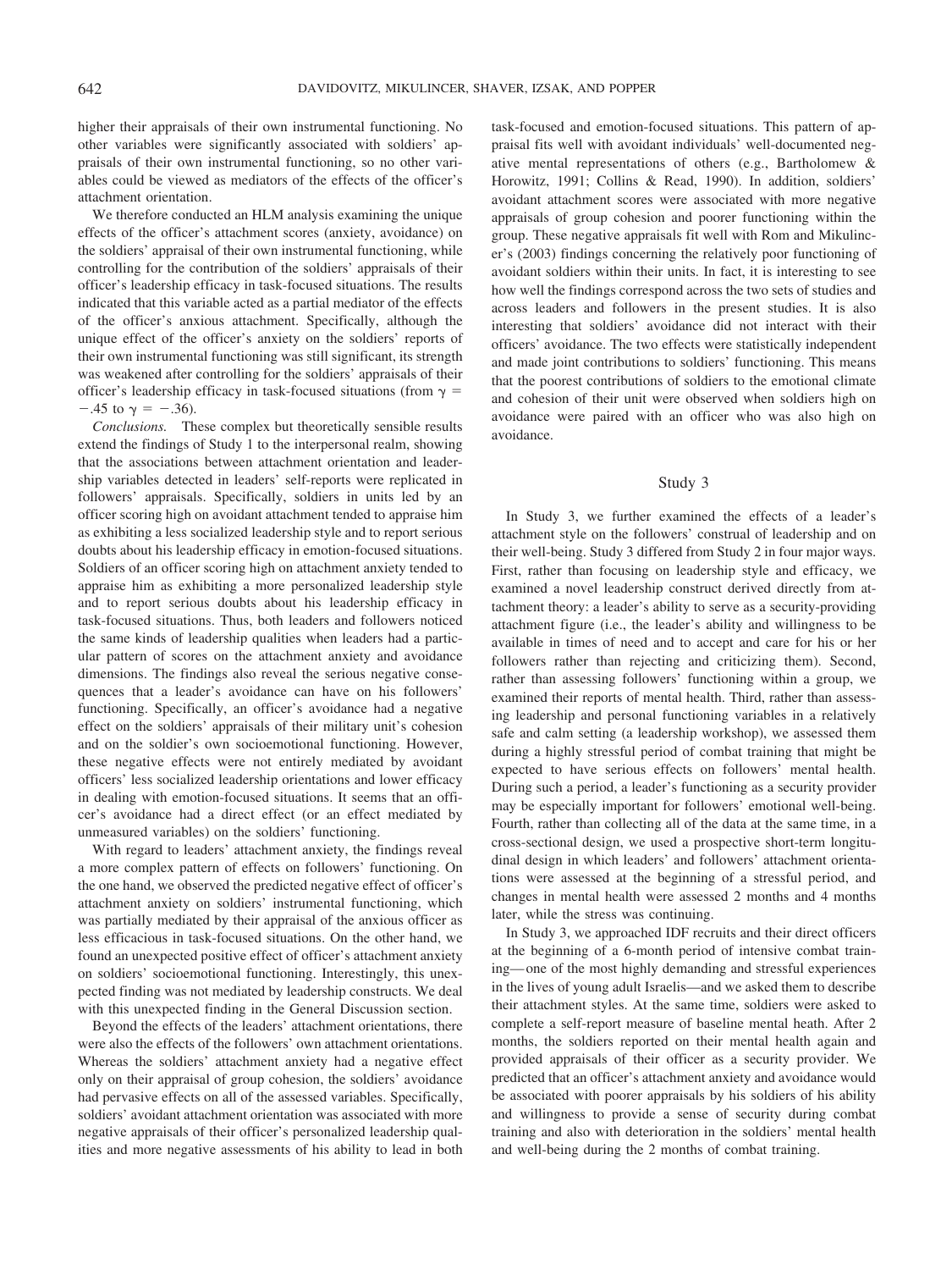higher their appraisals of their own instrumental functioning. No other variables were significantly associated with soldiers' appraisals of their own instrumental functioning, so no other variables could be viewed as mediators of the effects of the officer's attachment orientation.

We therefore conducted an HLM analysis examining the unique effects of the officer's attachment scores (anxiety, avoidance) on the soldiers' appraisal of their own instrumental functioning, while controlling for the contribution of the soldiers' appraisals of their officer's leadership efficacy in task-focused situations. The results indicated that this variable acted as a partial mediator of the effects of the officer's anxious attachment. Specifically, although the unique effect of the officer's anxiety on the soldiers' reports of their own instrumental functioning was still significant, its strength was weakened after controlling for the soldiers' appraisals of their officer's leadership efficacy in task-focused situations (from  $\gamma$  =  $-.45$  to  $\gamma = -.36$ ).

*Conclusions.* These complex but theoretically sensible results extend the findings of Study 1 to the interpersonal realm, showing that the associations between attachment orientation and leadership variables detected in leaders' self-reports were replicated in followers' appraisals. Specifically, soldiers in units led by an officer scoring high on avoidant attachment tended to appraise him as exhibiting a less socialized leadership style and to report serious doubts about his leadership efficacy in emotion-focused situations. Soldiers of an officer scoring high on attachment anxiety tended to appraise him as exhibiting a more personalized leadership style and to report serious doubts about his leadership efficacy in task-focused situations. Thus, both leaders and followers noticed the same kinds of leadership qualities when leaders had a particular pattern of scores on the attachment anxiety and avoidance dimensions. The findings also reveal the serious negative consequences that a leader's avoidance can have on his followers' functioning. Specifically, an officer's avoidance had a negative effect on the soldiers' appraisals of their military unit's cohesion and on the soldier's own socioemotional functioning. However, these negative effects were not entirely mediated by avoidant officers' less socialized leadership orientations and lower efficacy in dealing with emotion-focused situations. It seems that an officer's avoidance had a direct effect (or an effect mediated by unmeasured variables) on the soldiers' functioning.

With regard to leaders' attachment anxiety, the findings reveal a more complex pattern of effects on followers' functioning. On the one hand, we observed the predicted negative effect of officer's attachment anxiety on soldiers' instrumental functioning, which was partially mediated by their appraisal of the anxious officer as less efficacious in task-focused situations. On the other hand, we found an unexpected positive effect of officer's attachment anxiety on soldiers' socioemotional functioning. Interestingly, this unexpected finding was not mediated by leadership constructs. We deal with this unexpected finding in the General Discussion section.

Beyond the effects of the leaders' attachment orientations, there were also the effects of the followers' own attachment orientations. Whereas the soldiers' attachment anxiety had a negative effect only on their appraisal of group cohesion, the soldiers' avoidance had pervasive effects on all of the assessed variables. Specifically, soldiers' avoidant attachment orientation was associated with more negative appraisals of their officer's personalized leadership qualities and more negative assessments of his ability to lead in both task-focused and emotion-focused situations. This pattern of appraisal fits well with avoidant individuals' well-documented negative mental representations of others (e.g., Bartholomew & Horowitz, 1991; Collins & Read, 1990). In addition, soldiers' avoidant attachment scores were associated with more negative appraisals of group cohesion and poorer functioning within the group. These negative appraisals fit well with Rom and Mikulincer's (2003) findings concerning the relatively poor functioning of avoidant soldiers within their units. In fact, it is interesting to see how well the findings correspond across the two sets of studies and across leaders and followers in the present studies. It is also interesting that soldiers' avoidance did not interact with their officers' avoidance. The two effects were statistically independent and made joint contributions to soldiers' functioning. This means that the poorest contributions of soldiers to the emotional climate and cohesion of their unit were observed when soldiers high on avoidance were paired with an officer who was also high on avoidance.

#### Study 3

In Study 3, we further examined the effects of a leader's attachment style on the followers' construal of leadership and on their well-being. Study 3 differed from Study 2 in four major ways. First, rather than focusing on leadership style and efficacy, we examined a novel leadership construct derived directly from attachment theory: a leader's ability to serve as a security-providing attachment figure (i.e., the leader's ability and willingness to be available in times of need and to accept and care for his or her followers rather than rejecting and criticizing them). Second, rather than assessing followers' functioning within a group, we examined their reports of mental health. Third, rather than assessing leadership and personal functioning variables in a relatively safe and calm setting (a leadership workshop), we assessed them during a highly stressful period of combat training that might be expected to have serious effects on followers' mental health. During such a period, a leader's functioning as a security provider may be especially important for followers' emotional well-being. Fourth, rather than collecting all of the data at the same time, in a cross-sectional design, we used a prospective short-term longitudinal design in which leaders' and followers' attachment orientations were assessed at the beginning of a stressful period, and changes in mental health were assessed 2 months and 4 months later, while the stress was continuing.

In Study 3, we approached IDF recruits and their direct officers at the beginning of a 6-month period of intensive combat training— one of the most highly demanding and stressful experiences in the lives of young adult Israelis—and we asked them to describe their attachment styles. At the same time, soldiers were asked to complete a self-report measure of baseline mental heath. After 2 months, the soldiers reported on their mental health again and provided appraisals of their officer as a security provider. We predicted that an officer's attachment anxiety and avoidance would be associated with poorer appraisals by his soldiers of his ability and willingness to provide a sense of security during combat training and also with deterioration in the soldiers' mental health and well-being during the 2 months of combat training.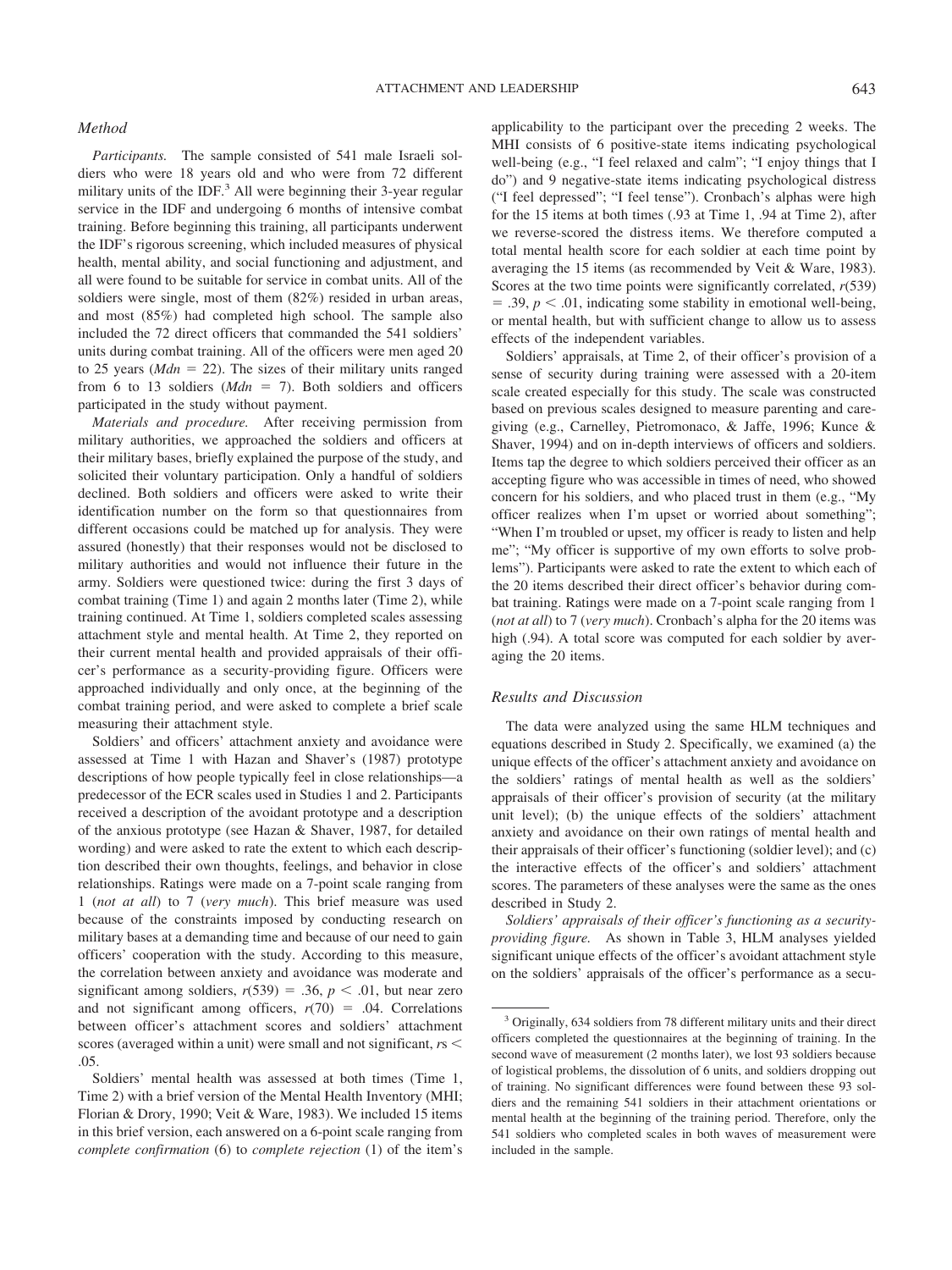#### *Method*

*Participants.* The sample consisted of 541 male Israeli soldiers who were 18 years old and who were from 72 different military units of the IDF.<sup>3</sup> All were beginning their 3-year regular service in the IDF and undergoing 6 months of intensive combat training. Before beginning this training, all participants underwent the IDF's rigorous screening, which included measures of physical health, mental ability, and social functioning and adjustment, and all were found to be suitable for service in combat units. All of the soldiers were single, most of them (82%) resided in urban areas, and most (85%) had completed high school. The sample also included the 72 direct officers that commanded the 541 soldiers' units during combat training. All of the officers were men aged 20 to 25 years ( $Mdn = 22$ ). The sizes of their military units ranged from 6 to 13 soldiers  $(Mdn = 7)$ . Both soldiers and officers participated in the study without payment.

*Materials and procedure.* After receiving permission from military authorities, we approached the soldiers and officers at their military bases, briefly explained the purpose of the study, and solicited their voluntary participation. Only a handful of soldiers declined. Both soldiers and officers were asked to write their identification number on the form so that questionnaires from different occasions could be matched up for analysis. They were assured (honestly) that their responses would not be disclosed to military authorities and would not influence their future in the army. Soldiers were questioned twice: during the first 3 days of combat training (Time 1) and again 2 months later (Time 2), while training continued. At Time 1, soldiers completed scales assessing attachment style and mental health. At Time 2, they reported on their current mental health and provided appraisals of their officer's performance as a security-providing figure. Officers were approached individually and only once, at the beginning of the combat training period, and were asked to complete a brief scale measuring their attachment style.

Soldiers' and officers' attachment anxiety and avoidance were assessed at Time 1 with Hazan and Shaver's (1987) prototype descriptions of how people typically feel in close relationships—a predecessor of the ECR scales used in Studies 1 and 2. Participants received a description of the avoidant prototype and a description of the anxious prototype (see Hazan & Shaver, 1987, for detailed wording) and were asked to rate the extent to which each description described their own thoughts, feelings, and behavior in close relationships. Ratings were made on a 7-point scale ranging from 1 (*not at all*) to 7 (*very much*). This brief measure was used because of the constraints imposed by conducting research on military bases at a demanding time and because of our need to gain officers' cooperation with the study. According to this measure, the correlation between anxiety and avoidance was moderate and significant among soldiers,  $r(539) = .36$ ,  $p < .01$ , but near zero and not significant among officers,  $r(70) = .04$ . Correlations between officer's attachment scores and soldiers' attachment scores (averaged within a unit) were small and not significant, *r*s .05.

Soldiers' mental health was assessed at both times (Time 1, Time 2) with a brief version of the Mental Health Inventory (MHI; Florian & Drory, 1990; Veit & Ware, 1983). We included 15 items in this brief version, each answered on a 6-point scale ranging from *complete confirmation* (6) to *complete rejection* (1) of the item's applicability to the participant over the preceding 2 weeks. The MHI consists of 6 positive-state items indicating psychological well-being (e.g., "I feel relaxed and calm"; "I enjoy things that I do") and 9 negative-state items indicating psychological distress ("I feel depressed"; "I feel tense"). Cronbach's alphas were high for the 15 items at both times (.93 at Time 1, .94 at Time 2), after we reverse-scored the distress items. We therefore computed a total mental health score for each soldier at each time point by averaging the 15 items (as recommended by Veit & Ware, 1983). Scores at the two time points were significantly correlated, *r*(539)  $=$  .39,  $p < .01$ , indicating some stability in emotional well-being, or mental health, but with sufficient change to allow us to assess effects of the independent variables.

Soldiers' appraisals, at Time 2, of their officer's provision of a sense of security during training were assessed with a 20-item scale created especially for this study. The scale was constructed based on previous scales designed to measure parenting and caregiving (e.g., Carnelley, Pietromonaco, & Jaffe, 1996; Kunce & Shaver, 1994) and on in-depth interviews of officers and soldiers. Items tap the degree to which soldiers perceived their officer as an accepting figure who was accessible in times of need, who showed concern for his soldiers, and who placed trust in them (e.g., "My officer realizes when I'm upset or worried about something"; "When I'm troubled or upset, my officer is ready to listen and help me"; "My officer is supportive of my own efforts to solve problems"). Participants were asked to rate the extent to which each of the 20 items described their direct officer's behavior during combat training. Ratings were made on a 7-point scale ranging from 1 (*not at all*) to 7 (*very much*). Cronbach's alpha for the 20 items was high (.94). A total score was computed for each soldier by averaging the 20 items.

#### *Results and Discussion*

The data were analyzed using the same HLM techniques and equations described in Study 2. Specifically, we examined (a) the unique effects of the officer's attachment anxiety and avoidance on the soldiers' ratings of mental health as well as the soldiers' appraisals of their officer's provision of security (at the military unit level); (b) the unique effects of the soldiers' attachment anxiety and avoidance on their own ratings of mental health and their appraisals of their officer's functioning (soldier level); and (c) the interactive effects of the officer's and soldiers' attachment scores. The parameters of these analyses were the same as the ones described in Study 2.

*Soldiers' appraisals of their officer's functioning as a securityproviding figure.* As shown in Table 3, HLM analyses yielded significant unique effects of the officer's avoidant attachment style on the soldiers' appraisals of the officer's performance as a secu-

<sup>3</sup> Originally, 634 soldiers from 78 different military units and their direct officers completed the questionnaires at the beginning of training. In the second wave of measurement (2 months later), we lost 93 soldiers because of logistical problems, the dissolution of 6 units, and soldiers dropping out of training. No significant differences were found between these 93 soldiers and the remaining 541 soldiers in their attachment orientations or mental health at the beginning of the training period. Therefore, only the 541 soldiers who completed scales in both waves of measurement were included in the sample.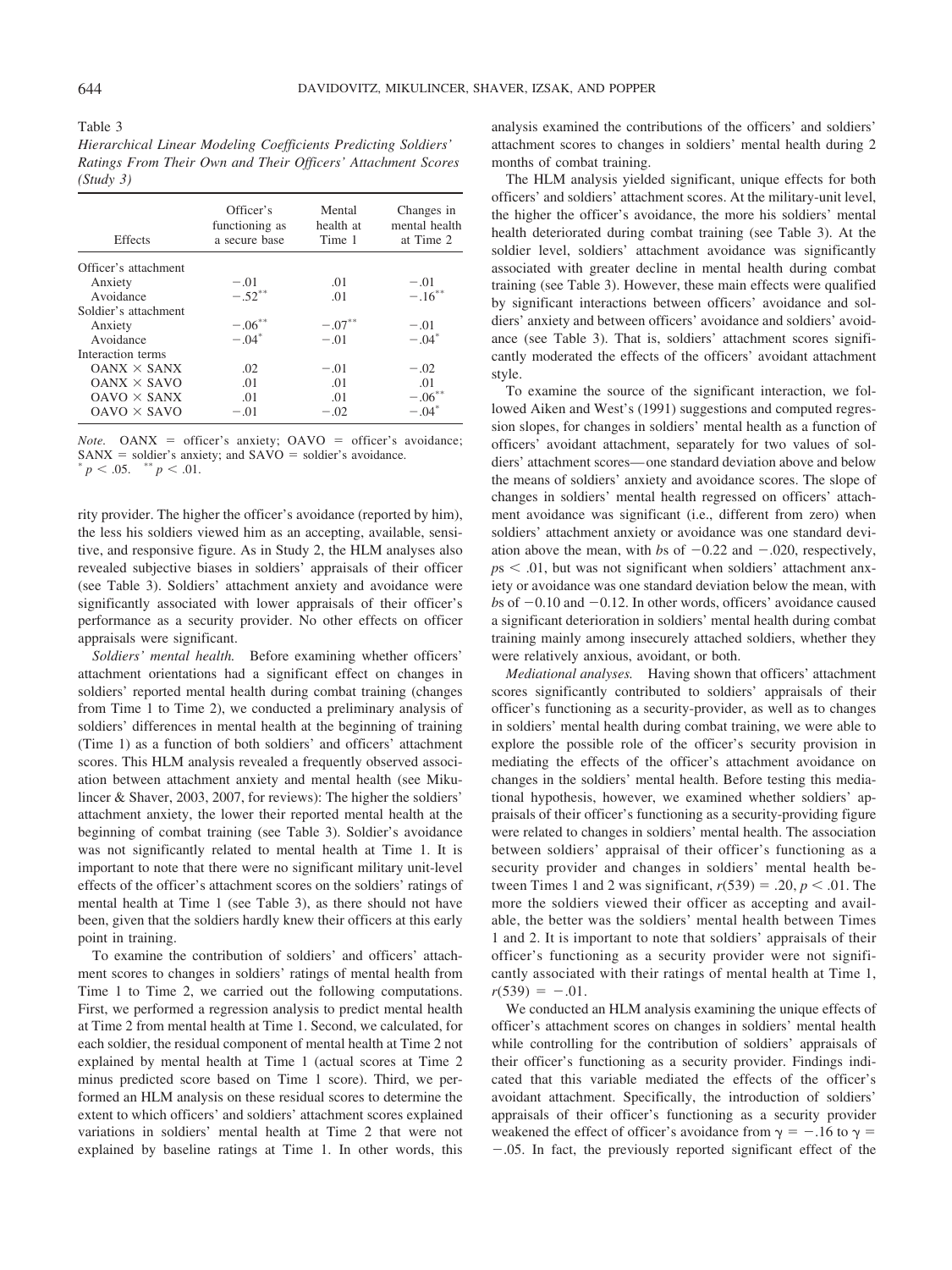Table 3

*Hierarchical Linear Modeling Coefficients Predicting Soldiers' Ratings From Their Own and Their Officers' Attachment Scores (Study 3)*

| Officer's<br>functioning as<br>a secure base | Mental<br>health at<br>Time 1 | Changes in<br>mental health<br>at Time 2 |  |
|----------------------------------------------|-------------------------------|------------------------------------------|--|
|                                              |                               |                                          |  |
| $-.01$                                       | .01                           | $-.01$                                   |  |
| $-52**$                                      | .01                           | $-.16***$                                |  |
|                                              |                               |                                          |  |
| $-.06$ <sup>**</sup>                         | $-.07$ <sup>**</sup>          | $-.01$                                   |  |
| $-.04*$                                      | $-.01$                        | $-.04*$                                  |  |
|                                              |                               |                                          |  |
| .02                                          | $-.01$                        | $-.02$                                   |  |
| .01                                          | .01                           | .01                                      |  |
| .01                                          | .01                           | $-.06***$                                |  |
| $-.01$                                       | $-.02$                        | $-.04*$                                  |  |
|                                              |                               |                                          |  |

*Note.* OANX = officer's anxiety; OAVO = officer's avoidance; SANX = soldier's anxiety; and SAVO = soldier's avoidance.  $p < .05$ . \*\*  $p < .01$ .

rity provider. The higher the officer's avoidance (reported by him), the less his soldiers viewed him as an accepting, available, sensitive, and responsive figure. As in Study 2, the HLM analyses also revealed subjective biases in soldiers' appraisals of their officer (see Table 3). Soldiers' attachment anxiety and avoidance were significantly associated with lower appraisals of their officer's performance as a security provider. No other effects on officer appraisals were significant.

*Soldiers' mental health.* Before examining whether officers' attachment orientations had a significant effect on changes in soldiers' reported mental health during combat training (changes from Time 1 to Time 2), we conducted a preliminary analysis of soldiers' differences in mental health at the beginning of training (Time 1) as a function of both soldiers' and officers' attachment scores. This HLM analysis revealed a frequently observed association between attachment anxiety and mental health (see Mikulincer & Shaver, 2003, 2007, for reviews): The higher the soldiers' attachment anxiety, the lower their reported mental health at the beginning of combat training (see Table 3). Soldier's avoidance was not significantly related to mental health at Time 1. It is important to note that there were no significant military unit-level effects of the officer's attachment scores on the soldiers' ratings of mental health at Time 1 (see Table 3), as there should not have been, given that the soldiers hardly knew their officers at this early point in training.

To examine the contribution of soldiers' and officers' attachment scores to changes in soldiers' ratings of mental health from Time 1 to Time 2, we carried out the following computations. First, we performed a regression analysis to predict mental health at Time 2 from mental health at Time 1. Second, we calculated, for each soldier, the residual component of mental health at Time 2 not explained by mental health at Time 1 (actual scores at Time 2 minus predicted score based on Time 1 score). Third, we performed an HLM analysis on these residual scores to determine the extent to which officers' and soldiers' attachment scores explained variations in soldiers' mental health at Time 2 that were not explained by baseline ratings at Time 1. In other words, this analysis examined the contributions of the officers' and soldiers' attachment scores to changes in soldiers' mental health during 2 months of combat training.

The HLM analysis yielded significant, unique effects for both officers' and soldiers' attachment scores. At the military-unit level, the higher the officer's avoidance, the more his soldiers' mental health deteriorated during combat training (see Table 3). At the soldier level, soldiers' attachment avoidance was significantly associated with greater decline in mental health during combat training (see Table 3). However, these main effects were qualified by significant interactions between officers' avoidance and soldiers' anxiety and between officers' avoidance and soldiers' avoidance (see Table 3). That is, soldiers' attachment scores significantly moderated the effects of the officers' avoidant attachment style.

To examine the source of the significant interaction, we followed Aiken and West's (1991) suggestions and computed regression slopes, for changes in soldiers' mental health as a function of officers' avoidant attachment, separately for two values of soldiers' attachment scores— one standard deviation above and below the means of soldiers' anxiety and avoidance scores. The slope of changes in soldiers' mental health regressed on officers' attachment avoidance was significant (i.e., different from zero) when soldiers' attachment anxiety or avoidance was one standard deviation above the mean, with *bs* of  $-0.22$  and  $-.020$ , respectively,  $p<sub>5</sub> < 0.01$ , but was not significant when soldiers' attachment anxiety or avoidance was one standard deviation below the mean, with bs of  $-0.10$  and  $-0.12$ . In other words, officers' avoidance caused a significant deterioration in soldiers' mental health during combat training mainly among insecurely attached soldiers, whether they were relatively anxious, avoidant, or both.

*Mediational analyses.* Having shown that officers' attachment scores significantly contributed to soldiers' appraisals of their officer's functioning as a security-provider, as well as to changes in soldiers' mental health during combat training, we were able to explore the possible role of the officer's security provision in mediating the effects of the officer's attachment avoidance on changes in the soldiers' mental health. Before testing this mediational hypothesis, however, we examined whether soldiers' appraisals of their officer's functioning as a security-providing figure were related to changes in soldiers' mental health. The association between soldiers' appraisal of their officer's functioning as a security provider and changes in soldiers' mental health between Times 1 and 2 was significant,  $r(539) = .20$ ,  $p < .01$ . The more the soldiers viewed their officer as accepting and available, the better was the soldiers' mental health between Times 1 and 2. It is important to note that soldiers' appraisals of their officer's functioning as a security provider were not significantly associated with their ratings of mental health at Time 1,  $r(539) = -.01$ .

We conducted an HLM analysis examining the unique effects of officer's attachment scores on changes in soldiers' mental health while controlling for the contribution of soldiers' appraisals of their officer's functioning as a security provider. Findings indicated that this variable mediated the effects of the officer's avoidant attachment. Specifically, the introduction of soldiers' appraisals of their officer's functioning as a security provider weakened the effect of officer's avoidance from  $\gamma = -.16$  to  $\gamma =$ .05. In fact, the previously reported significant effect of the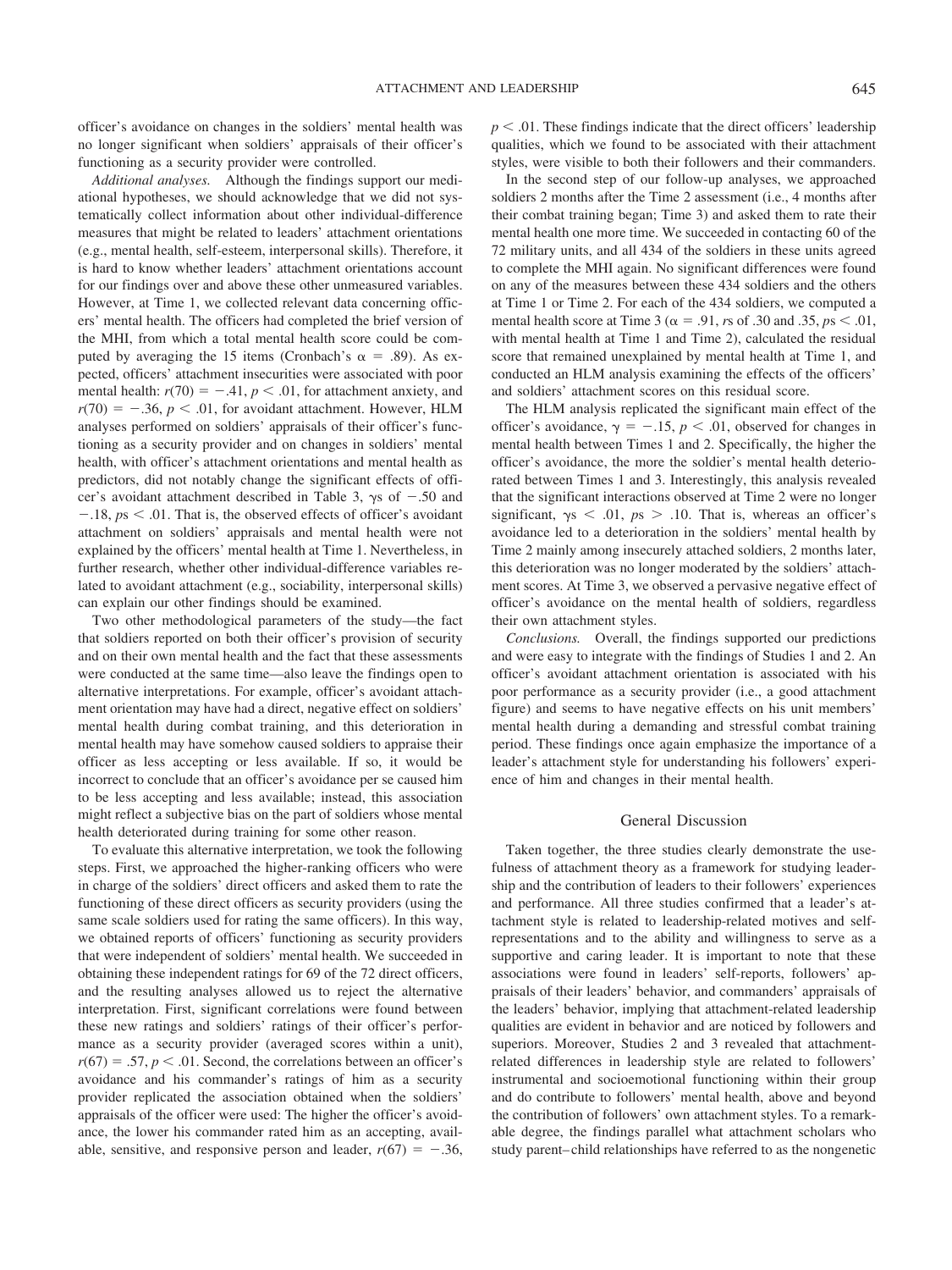officer's avoidance on changes in the soldiers' mental health was no longer significant when soldiers' appraisals of their officer's functioning as a security provider were controlled.

*Additional analyses.* Although the findings support our mediational hypotheses, we should acknowledge that we did not systematically collect information about other individual-difference measures that might be related to leaders' attachment orientations (e.g., mental health, self-esteem, interpersonal skills). Therefore, it is hard to know whether leaders' attachment orientations account for our findings over and above these other unmeasured variables. However, at Time 1, we collected relevant data concerning officers' mental health. The officers had completed the brief version of the MHI, from which a total mental health score could be computed by averaging the 15 items (Cronbach's  $\alpha = .89$ ). As expected, officers' attachment insecurities were associated with poor mental health:  $r(70) = -.41$ ,  $p < .01$ , for attachment anxiety, and  $r(70) = -.36$ ,  $p < .01$ , for avoidant attachment. However, HLM analyses performed on soldiers' appraisals of their officer's functioning as a security provider and on changes in soldiers' mental health, with officer's attachment orientations and mental health as predictors, did not notably change the significant effects of officer's avoidant attachment described in Table 3,  $\gamma s$  of  $-.50$  and  $-18$ ,  $ps < 0.01$ . That is, the observed effects of officer's avoidant attachment on soldiers' appraisals and mental health were not explained by the officers' mental health at Time 1. Nevertheless, in further research, whether other individual-difference variables related to avoidant attachment (e.g., sociability, interpersonal skills) can explain our other findings should be examined.

Two other methodological parameters of the study—the fact that soldiers reported on both their officer's provision of security and on their own mental health and the fact that these assessments were conducted at the same time—also leave the findings open to alternative interpretations. For example, officer's avoidant attachment orientation may have had a direct, negative effect on soldiers' mental health during combat training, and this deterioration in mental health may have somehow caused soldiers to appraise their officer as less accepting or less available. If so, it would be incorrect to conclude that an officer's avoidance per se caused him to be less accepting and less available; instead, this association might reflect a subjective bias on the part of soldiers whose mental health deteriorated during training for some other reason.

To evaluate this alternative interpretation, we took the following steps. First, we approached the higher-ranking officers who were in charge of the soldiers' direct officers and asked them to rate the functioning of these direct officers as security providers (using the same scale soldiers used for rating the same officers). In this way, we obtained reports of officers' functioning as security providers that were independent of soldiers' mental health. We succeeded in obtaining these independent ratings for 69 of the 72 direct officers, and the resulting analyses allowed us to reject the alternative interpretation. First, significant correlations were found between these new ratings and soldiers' ratings of their officer's performance as a security provider (averaged scores within a unit),  $r(67) = .57$ ,  $p < .01$ . Second, the correlations between an officer's avoidance and his commander's ratings of him as a security provider replicated the association obtained when the soldiers' appraisals of the officer were used: The higher the officer's avoidance, the lower his commander rated him as an accepting, available, sensitive, and responsive person and leader,  $r(67) = -.36$ ,  $p < .01$ . These findings indicate that the direct officers' leadership qualities, which we found to be associated with their attachment styles, were visible to both their followers and their commanders.

In the second step of our follow-up analyses, we approached soldiers 2 months after the Time 2 assessment (i.e., 4 months after their combat training began; Time 3) and asked them to rate their mental health one more time. We succeeded in contacting 60 of the 72 military units, and all 434 of the soldiers in these units agreed to complete the MHI again. No significant differences were found on any of the measures between these 434 soldiers and the others at Time 1 or Time 2. For each of the 434 soldiers, we computed a mental health score at Time 3 ( $\alpha$  = .91, *r*s of .30 and .35, *ps* < .01, with mental health at Time 1 and Time 2), calculated the residual score that remained unexplained by mental health at Time 1, and conducted an HLM analysis examining the effects of the officers' and soldiers' attachment scores on this residual score.

The HLM analysis replicated the significant main effect of the officer's avoidance,  $\gamma = -.15$ ,  $p < .01$ , observed for changes in mental health between Times 1 and 2. Specifically, the higher the officer's avoidance, the more the soldier's mental health deteriorated between Times 1 and 3. Interestingly, this analysis revealed that the significant interactions observed at Time 2 were no longer significant,  $\gamma s$  < .01,  $ps$  > .10. That is, whereas an officer's avoidance led to a deterioration in the soldiers' mental health by Time 2 mainly among insecurely attached soldiers, 2 months later, this deterioration was no longer moderated by the soldiers' attachment scores. At Time 3, we observed a pervasive negative effect of officer's avoidance on the mental health of soldiers, regardless their own attachment styles.

*Conclusions.* Overall, the findings supported our predictions and were easy to integrate with the findings of Studies 1 and 2. An officer's avoidant attachment orientation is associated with his poor performance as a security provider (i.e., a good attachment figure) and seems to have negative effects on his unit members' mental health during a demanding and stressful combat training period. These findings once again emphasize the importance of a leader's attachment style for understanding his followers' experience of him and changes in their mental health.

# General Discussion

Taken together, the three studies clearly demonstrate the usefulness of attachment theory as a framework for studying leadership and the contribution of leaders to their followers' experiences and performance. All three studies confirmed that a leader's attachment style is related to leadership-related motives and selfrepresentations and to the ability and willingness to serve as a supportive and caring leader. It is important to note that these associations were found in leaders' self-reports, followers' appraisals of their leaders' behavior, and commanders' appraisals of the leaders' behavior, implying that attachment-related leadership qualities are evident in behavior and are noticed by followers and superiors. Moreover, Studies 2 and 3 revealed that attachmentrelated differences in leadership style are related to followers' instrumental and socioemotional functioning within their group and do contribute to followers' mental health, above and beyond the contribution of followers' own attachment styles. To a remarkable degree, the findings parallel what attachment scholars who study parent– child relationships have referred to as the nongenetic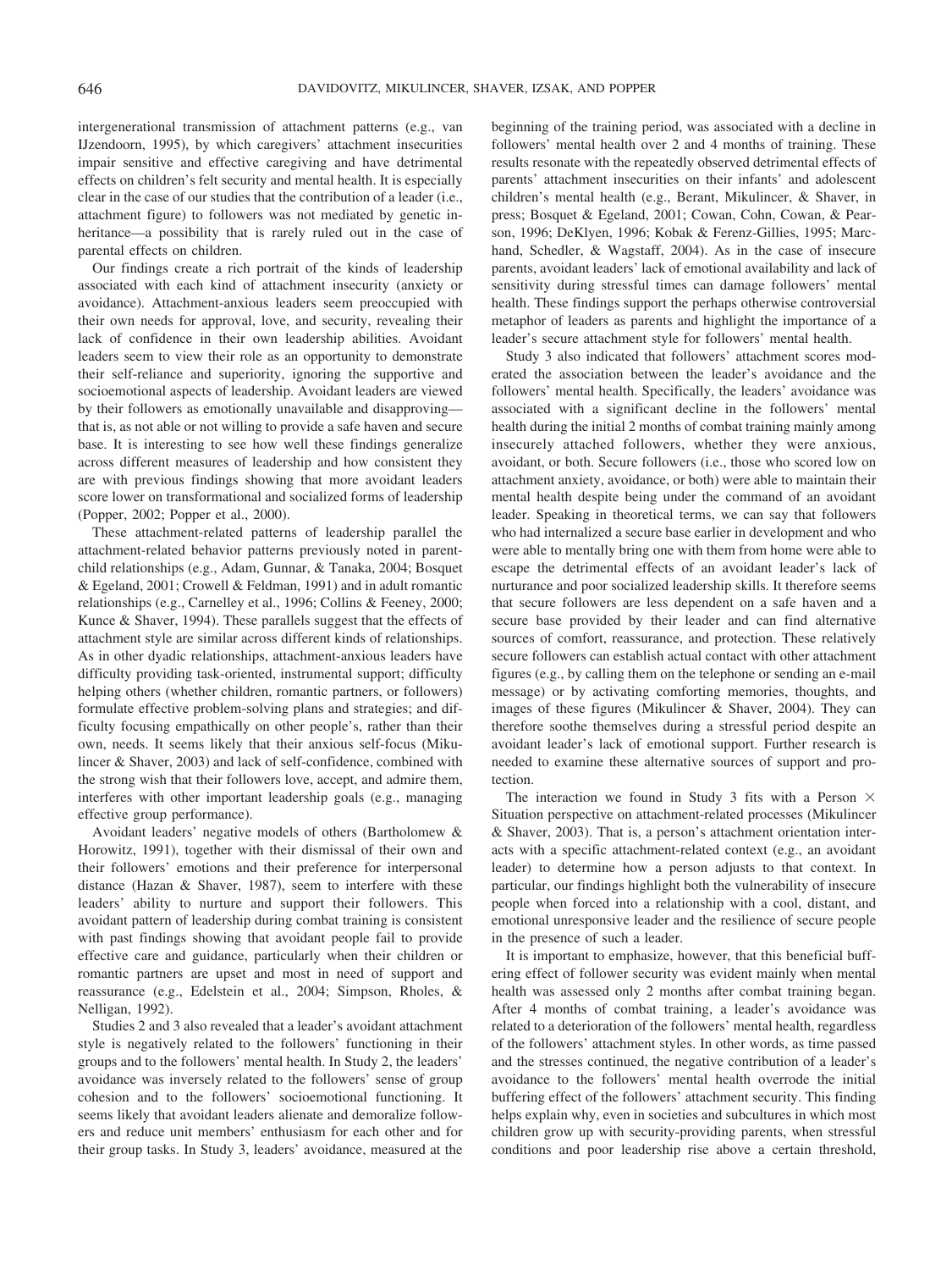intergenerational transmission of attachment patterns (e.g., van IJzendoorn, 1995), by which caregivers' attachment insecurities impair sensitive and effective caregiving and have detrimental effects on children's felt security and mental health. It is especially clear in the case of our studies that the contribution of a leader (i.e., attachment figure) to followers was not mediated by genetic inheritance—a possibility that is rarely ruled out in the case of parental effects on children.

Our findings create a rich portrait of the kinds of leadership associated with each kind of attachment insecurity (anxiety or avoidance). Attachment-anxious leaders seem preoccupied with their own needs for approval, love, and security, revealing their lack of confidence in their own leadership abilities. Avoidant leaders seem to view their role as an opportunity to demonstrate their self-reliance and superiority, ignoring the supportive and socioemotional aspects of leadership. Avoidant leaders are viewed by their followers as emotionally unavailable and disapproving that is, as not able or not willing to provide a safe haven and secure base. It is interesting to see how well these findings generalize across different measures of leadership and how consistent they are with previous findings showing that more avoidant leaders score lower on transformational and socialized forms of leadership (Popper, 2002; Popper et al., 2000).

These attachment-related patterns of leadership parallel the attachment-related behavior patterns previously noted in parentchild relationships (e.g., Adam, Gunnar, & Tanaka, 2004; Bosquet & Egeland, 2001; Crowell & Feldman, 1991) and in adult romantic relationships (e.g., Carnelley et al., 1996; Collins & Feeney, 2000; Kunce & Shaver, 1994). These parallels suggest that the effects of attachment style are similar across different kinds of relationships. As in other dyadic relationships, attachment-anxious leaders have difficulty providing task-oriented, instrumental support; difficulty helping others (whether children, romantic partners, or followers) formulate effective problem-solving plans and strategies; and difficulty focusing empathically on other people's, rather than their own, needs. It seems likely that their anxious self-focus (Mikulincer & Shaver, 2003) and lack of self-confidence, combined with the strong wish that their followers love, accept, and admire them, interferes with other important leadership goals (e.g., managing effective group performance).

Avoidant leaders' negative models of others (Bartholomew & Horowitz, 1991), together with their dismissal of their own and their followers' emotions and their preference for interpersonal distance (Hazan & Shaver, 1987), seem to interfere with these leaders' ability to nurture and support their followers. This avoidant pattern of leadership during combat training is consistent with past findings showing that avoidant people fail to provide effective care and guidance, particularly when their children or romantic partners are upset and most in need of support and reassurance (e.g., Edelstein et al., 2004; Simpson, Rholes, & Nelligan, 1992).

Studies 2 and 3 also revealed that a leader's avoidant attachment style is negatively related to the followers' functioning in their groups and to the followers' mental health. In Study 2, the leaders' avoidance was inversely related to the followers' sense of group cohesion and to the followers' socioemotional functioning. It seems likely that avoidant leaders alienate and demoralize followers and reduce unit members' enthusiasm for each other and for their group tasks. In Study 3, leaders' avoidance, measured at the beginning of the training period, was associated with a decline in followers' mental health over 2 and 4 months of training. These results resonate with the repeatedly observed detrimental effects of parents' attachment insecurities on their infants' and adolescent children's mental health (e.g., Berant, Mikulincer, & Shaver, in press; Bosquet & Egeland, 2001; Cowan, Cohn, Cowan, & Pearson, 1996; DeKlyen, 1996; Kobak & Ferenz-Gillies, 1995; Marchand, Schedler, & Wagstaff, 2004). As in the case of insecure parents, avoidant leaders' lack of emotional availability and lack of sensitivity during stressful times can damage followers' mental health. These findings support the perhaps otherwise controversial metaphor of leaders as parents and highlight the importance of a leader's secure attachment style for followers' mental health.

Study 3 also indicated that followers' attachment scores moderated the association between the leader's avoidance and the followers' mental health. Specifically, the leaders' avoidance was associated with a significant decline in the followers' mental health during the initial 2 months of combat training mainly among insecurely attached followers, whether they were anxious, avoidant, or both. Secure followers (i.e., those who scored low on attachment anxiety, avoidance, or both) were able to maintain their mental health despite being under the command of an avoidant leader. Speaking in theoretical terms, we can say that followers who had internalized a secure base earlier in development and who were able to mentally bring one with them from home were able to escape the detrimental effects of an avoidant leader's lack of nurturance and poor socialized leadership skills. It therefore seems that secure followers are less dependent on a safe haven and a secure base provided by their leader and can find alternative sources of comfort, reassurance, and protection. These relatively secure followers can establish actual contact with other attachment figures (e.g., by calling them on the telephone or sending an e-mail message) or by activating comforting memories, thoughts, and images of these figures (Mikulincer & Shaver, 2004). They can therefore soothe themselves during a stressful period despite an avoidant leader's lack of emotional support. Further research is needed to examine these alternative sources of support and protection.

The interaction we found in Study 3 fits with a Person  $\times$ Situation perspective on attachment-related processes (Mikulincer & Shaver, 2003). That is, a person's attachment orientation interacts with a specific attachment-related context (e.g., an avoidant leader) to determine how a person adjusts to that context. In particular, our findings highlight both the vulnerability of insecure people when forced into a relationship with a cool, distant, and emotional unresponsive leader and the resilience of secure people in the presence of such a leader.

It is important to emphasize, however, that this beneficial buffering effect of follower security was evident mainly when mental health was assessed only 2 months after combat training began. After 4 months of combat training, a leader's avoidance was related to a deterioration of the followers' mental health, regardless of the followers' attachment styles. In other words, as time passed and the stresses continued, the negative contribution of a leader's avoidance to the followers' mental health overrode the initial buffering effect of the followers' attachment security. This finding helps explain why, even in societies and subcultures in which most children grow up with security-providing parents, when stressful conditions and poor leadership rise above a certain threshold,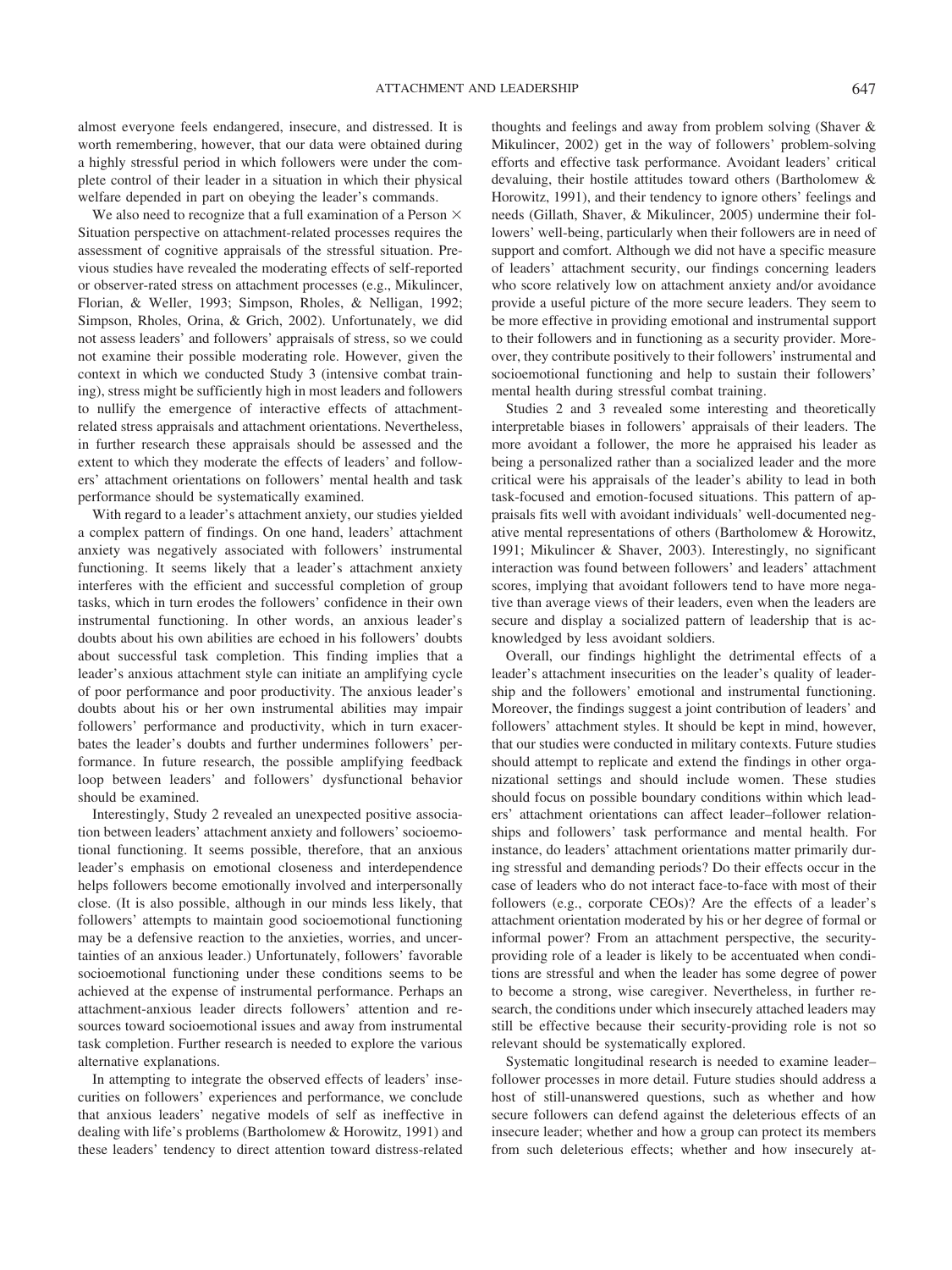almost everyone feels endangered, insecure, and distressed. It is worth remembering, however, that our data were obtained during a highly stressful period in which followers were under the complete control of their leader in a situation in which their physical welfare depended in part on obeying the leader's commands.

We also need to recognize that a full examination of a Person  $\times$ Situation perspective on attachment-related processes requires the assessment of cognitive appraisals of the stressful situation. Previous studies have revealed the moderating effects of self-reported or observer-rated stress on attachment processes (e.g., Mikulincer, Florian, & Weller, 1993; Simpson, Rholes, & Nelligan, 1992; Simpson, Rholes, Orina, & Grich, 2002). Unfortunately, we did not assess leaders' and followers' appraisals of stress, so we could not examine their possible moderating role. However, given the context in which we conducted Study 3 (intensive combat training), stress might be sufficiently high in most leaders and followers to nullify the emergence of interactive effects of attachmentrelated stress appraisals and attachment orientations. Nevertheless, in further research these appraisals should be assessed and the extent to which they moderate the effects of leaders' and followers' attachment orientations on followers' mental health and task performance should be systematically examined.

With regard to a leader's attachment anxiety, our studies yielded a complex pattern of findings. On one hand, leaders' attachment anxiety was negatively associated with followers' instrumental functioning. It seems likely that a leader's attachment anxiety interferes with the efficient and successful completion of group tasks, which in turn erodes the followers' confidence in their own instrumental functioning. In other words, an anxious leader's doubts about his own abilities are echoed in his followers' doubts about successful task completion. This finding implies that a leader's anxious attachment style can initiate an amplifying cycle of poor performance and poor productivity. The anxious leader's doubts about his or her own instrumental abilities may impair followers' performance and productivity, which in turn exacerbates the leader's doubts and further undermines followers' performance. In future research, the possible amplifying feedback loop between leaders' and followers' dysfunctional behavior should be examined.

Interestingly, Study 2 revealed an unexpected positive association between leaders' attachment anxiety and followers' socioemotional functioning. It seems possible, therefore, that an anxious leader's emphasis on emotional closeness and interdependence helps followers become emotionally involved and interpersonally close. (It is also possible, although in our minds less likely, that followers' attempts to maintain good socioemotional functioning may be a defensive reaction to the anxieties, worries, and uncertainties of an anxious leader.) Unfortunately, followers' favorable socioemotional functioning under these conditions seems to be achieved at the expense of instrumental performance. Perhaps an attachment-anxious leader directs followers' attention and resources toward socioemotional issues and away from instrumental task completion. Further research is needed to explore the various alternative explanations.

In attempting to integrate the observed effects of leaders' insecurities on followers' experiences and performance, we conclude that anxious leaders' negative models of self as ineffective in dealing with life's problems (Bartholomew & Horowitz, 1991) and these leaders' tendency to direct attention toward distress-related thoughts and feelings and away from problem solving (Shaver & Mikulincer, 2002) get in the way of followers' problem-solving efforts and effective task performance. Avoidant leaders' critical devaluing, their hostile attitudes toward others (Bartholomew & Horowitz, 1991), and their tendency to ignore others' feelings and needs (Gillath, Shaver, & Mikulincer, 2005) undermine their followers' well-being, particularly when their followers are in need of support and comfort. Although we did not have a specific measure of leaders' attachment security, our findings concerning leaders who score relatively low on attachment anxiety and/or avoidance provide a useful picture of the more secure leaders. They seem to be more effective in providing emotional and instrumental support to their followers and in functioning as a security provider. Moreover, they contribute positively to their followers' instrumental and socioemotional functioning and help to sustain their followers' mental health during stressful combat training.

Studies 2 and 3 revealed some interesting and theoretically interpretable biases in followers' appraisals of their leaders. The more avoidant a follower, the more he appraised his leader as being a personalized rather than a socialized leader and the more critical were his appraisals of the leader's ability to lead in both task-focused and emotion-focused situations. This pattern of appraisals fits well with avoidant individuals' well-documented negative mental representations of others (Bartholomew & Horowitz, 1991; Mikulincer & Shaver, 2003). Interestingly, no significant interaction was found between followers' and leaders' attachment scores, implying that avoidant followers tend to have more negative than average views of their leaders, even when the leaders are secure and display a socialized pattern of leadership that is acknowledged by less avoidant soldiers.

Overall, our findings highlight the detrimental effects of a leader's attachment insecurities on the leader's quality of leadership and the followers' emotional and instrumental functioning. Moreover, the findings suggest a joint contribution of leaders' and followers' attachment styles. It should be kept in mind, however, that our studies were conducted in military contexts. Future studies should attempt to replicate and extend the findings in other organizational settings and should include women. These studies should focus on possible boundary conditions within which leaders' attachment orientations can affect leader–follower relationships and followers' task performance and mental health. For instance, do leaders' attachment orientations matter primarily during stressful and demanding periods? Do their effects occur in the case of leaders who do not interact face-to-face with most of their followers (e.g., corporate CEOs)? Are the effects of a leader's attachment orientation moderated by his or her degree of formal or informal power? From an attachment perspective, the securityproviding role of a leader is likely to be accentuated when conditions are stressful and when the leader has some degree of power to become a strong, wise caregiver. Nevertheless, in further research, the conditions under which insecurely attached leaders may still be effective because their security-providing role is not so relevant should be systematically explored.

Systematic longitudinal research is needed to examine leader– follower processes in more detail. Future studies should address a host of still-unanswered questions, such as whether and how secure followers can defend against the deleterious effects of an insecure leader; whether and how a group can protect its members from such deleterious effects; whether and how insecurely at-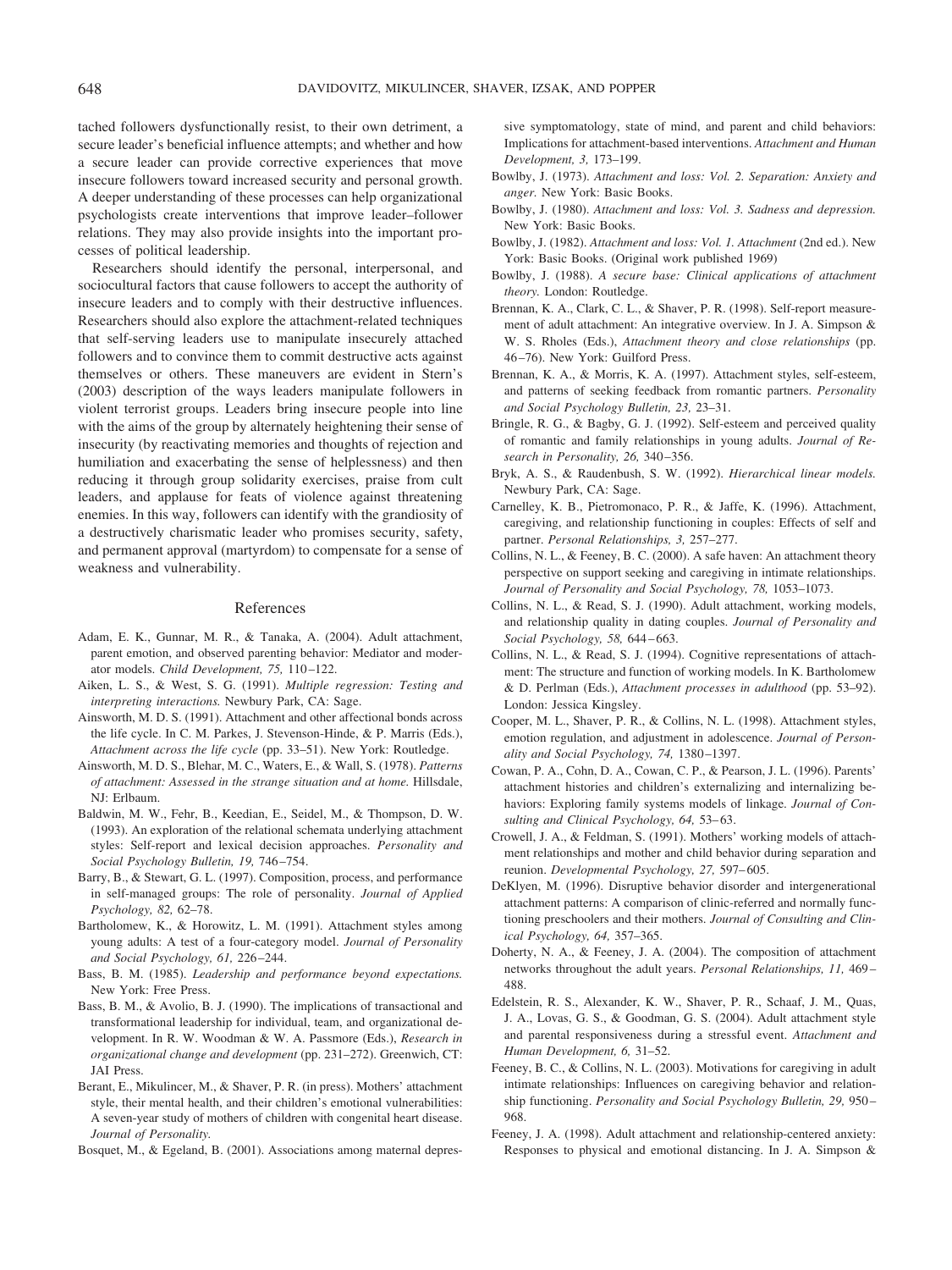tached followers dysfunctionally resist, to their own detriment, a secure leader's beneficial influence attempts; and whether and how a secure leader can provide corrective experiences that move insecure followers toward increased security and personal growth. A deeper understanding of these processes can help organizational psychologists create interventions that improve leader–follower relations. They may also provide insights into the important processes of political leadership.

Researchers should identify the personal, interpersonal, and sociocultural factors that cause followers to accept the authority of insecure leaders and to comply with their destructive influences. Researchers should also explore the attachment-related techniques that self-serving leaders use to manipulate insecurely attached followers and to convince them to commit destructive acts against themselves or others. These maneuvers are evident in Stern's (2003) description of the ways leaders manipulate followers in violent terrorist groups. Leaders bring insecure people into line with the aims of the group by alternately heightening their sense of insecurity (by reactivating memories and thoughts of rejection and humiliation and exacerbating the sense of helplessness) and then reducing it through group solidarity exercises, praise from cult leaders, and applause for feats of violence against threatening enemies. In this way, followers can identify with the grandiosity of a destructively charismatic leader who promises security, safety, and permanent approval (martyrdom) to compensate for a sense of weakness and vulnerability.

#### References

- Adam, E. K., Gunnar, M. R., & Tanaka, A. (2004). Adult attachment, parent emotion, and observed parenting behavior: Mediator and moderator models. *Child Development, 75,* 110 –122.
- Aiken, L. S., & West, S. G. (1991). *Multiple regression: Testing and interpreting interactions.* Newbury Park, CA: Sage.
- Ainsworth, M. D. S. (1991). Attachment and other affectional bonds across the life cycle. In C. M. Parkes, J. Stevenson-Hinde, & P. Marris (Eds.), *Attachment across the life cycle* (pp. 33–51). New York: Routledge.
- Ainsworth, M. D. S., Blehar, M. C., Waters, E., & Wall, S. (1978). *Patterns of attachment: Assessed in the strange situation and at home.* Hillsdale, NJ: Erlbaum.
- Baldwin, M. W., Fehr, B., Keedian, E., Seidel, M., & Thompson, D. W. (1993). An exploration of the relational schemata underlying attachment styles: Self-report and lexical decision approaches. *Personality and Social Psychology Bulletin, 19,* 746 –754.
- Barry, B., & Stewart, G. L. (1997). Composition, process, and performance in self-managed groups: The role of personality. *Journal of Applied Psychology, 82,* 62–78.
- Bartholomew, K., & Horowitz, L. M. (1991). Attachment styles among young adults: A test of a four-category model. *Journal of Personality and Social Psychology, 61,* 226 –244.
- Bass, B. M. (1985). *Leadership and performance beyond expectations.* New York: Free Press.
- Bass, B. M., & Avolio, B. J. (1990). The implications of transactional and transformational leadership for individual, team, and organizational development. In R. W. Woodman & W. A. Passmore (Eds.), *Research in organizational change and development* (pp. 231–272). Greenwich, CT: JAI Press.
- Berant, E., Mikulincer, M., & Shaver, P. R. (in press). Mothers' attachment style, their mental health, and their children's emotional vulnerabilities: A seven-year study of mothers of children with congenital heart disease. *Journal of Personality.*

Bosquet, M., & Egeland, B. (2001). Associations among maternal depres-

sive symptomatology, state of mind, and parent and child behaviors: Implications for attachment-based interventions. *Attachment and Human Development, 3,* 173–199.

- Bowlby, J. (1973). *Attachment and loss: Vol. 2. Separation: Anxiety and anger.* New York: Basic Books.
- Bowlby, J. (1980). *Attachment and loss: Vol. 3. Sadness and depression.* New York: Basic Books.
- Bowlby, J. (1982). *Attachment and loss: Vol. 1. Attachment* (2nd ed.). New York: Basic Books. (Original work published 1969)
- Bowlby, J. (1988). *A secure base: Clinical applications of attachment theory.* London: Routledge.
- Brennan, K. A., Clark, C. L., & Shaver, P. R. (1998). Self-report measurement of adult attachment: An integrative overview. In J. A. Simpson & W. S. Rholes (Eds.), *Attachment theory and close relationships* (pp. 46 –76). New York: Guilford Press.
- Brennan, K. A., & Morris, K. A. (1997). Attachment styles, self-esteem, and patterns of seeking feedback from romantic partners. *Personality and Social Psychology Bulletin, 23,* 23–31.
- Bringle, R. G., & Bagby, G. J. (1992). Self-esteem and perceived quality of romantic and family relationships in young adults. *Journal of Research in Personality, 26,* 340 –356.
- Bryk, A. S., & Raudenbush, S. W. (1992). *Hierarchical linear models.* Newbury Park, CA: Sage.
- Carnelley, K. B., Pietromonaco, P. R., & Jaffe, K. (1996). Attachment, caregiving, and relationship functioning in couples: Effects of self and partner. *Personal Relationships, 3,* 257–277.
- Collins, N. L., & Feeney, B. C. (2000). A safe haven: An attachment theory perspective on support seeking and caregiving in intimate relationships. *Journal of Personality and Social Psychology, 78,* 1053–1073.
- Collins, N. L., & Read, S. J. (1990). Adult attachment, working models, and relationship quality in dating couples. *Journal of Personality and Social Psychology, 58,* 644 – 663.
- Collins, N. L., & Read, S. J. (1994). Cognitive representations of attachment: The structure and function of working models. In K. Bartholomew & D. Perlman (Eds.), *Attachment processes in adulthood* (pp. 53–92). London: Jessica Kingsley.
- Cooper, M. L., Shaver, P. R., & Collins, N. L. (1998). Attachment styles, emotion regulation, and adjustment in adolescence. *Journal of Personality and Social Psychology, 74,* 1380 –1397.
- Cowan, P. A., Cohn, D. A., Cowan, C. P., & Pearson, J. L. (1996). Parents' attachment histories and children's externalizing and internalizing behaviors: Exploring family systems models of linkage. *Journal of Con*sulting and Clinical Psychology, 64, 53-63.
- Crowell, J. A., & Feldman, S. (1991). Mothers' working models of attachment relationships and mother and child behavior during separation and reunion. *Developmental Psychology, 27, 597-605*.
- DeKlyen, M. (1996). Disruptive behavior disorder and intergenerational attachment patterns: A comparison of clinic-referred and normally functioning preschoolers and their mothers. *Journal of Consulting and Clinical Psychology, 64,* 357–365.
- Doherty, N. A., & Feeney, J. A. (2004). The composition of attachment networks throughout the adult years. *Personal Relationships, 11,* 469 – 488.
- Edelstein, R. S., Alexander, K. W., Shaver, P. R., Schaaf, J. M., Quas, J. A., Lovas, G. S., & Goodman, G. S. (2004). Adult attachment style and parental responsiveness during a stressful event. *Attachment and Human Development, 6,* 31–52.
- Feeney, B. C., & Collins, N. L. (2003). Motivations for caregiving in adult intimate relationships: Influences on caregiving behavior and relationship functioning. *Personality and Social Psychology Bulletin, 29,* 950 – 968.
- Feeney, J. A. (1998). Adult attachment and relationship-centered anxiety: Responses to physical and emotional distancing. In J. A. Simpson &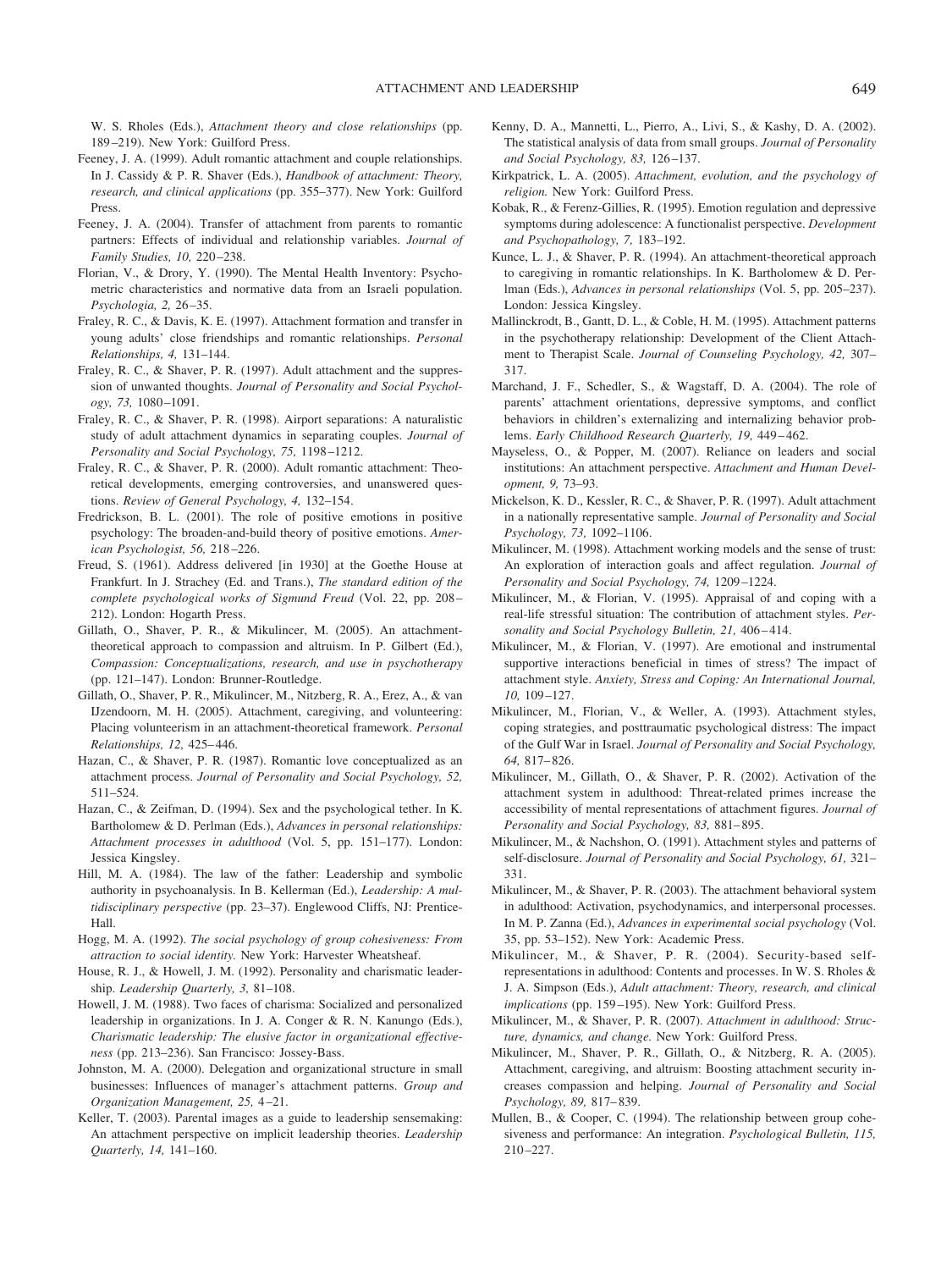W. S. Rholes (Eds.), *Attachment theory and close relationships* (pp. 189 –219). New York: Guilford Press.

- Feeney, J. A. (1999). Adult romantic attachment and couple relationships. In J. Cassidy & P. R. Shaver (Eds.), *Handbook of attachment: Theory, research, and clinical applications* (pp. 355–377). New York: Guilford Press.
- Feeney, J. A. (2004). Transfer of attachment from parents to romantic partners: Effects of individual and relationship variables. *Journal of Family Studies, 10,* 220 –238.
- Florian, V., & Drory, Y. (1990). The Mental Health Inventory: Psychometric characteristics and normative data from an Israeli population. *Psychologia, 2,* 26 –35.
- Fraley, R. C., & Davis, K. E. (1997). Attachment formation and transfer in young adults' close friendships and romantic relationships. *Personal Relationships, 4,* 131–144.
- Fraley, R. C., & Shaver, P. R. (1997). Adult attachment and the suppression of unwanted thoughts. *Journal of Personality and Social Psychology, 73,* 1080 –1091.
- Fraley, R. C., & Shaver, P. R. (1998). Airport separations: A naturalistic study of adult attachment dynamics in separating couples. *Journal of Personality and Social Psychology, 75,* 1198 –1212.
- Fraley, R. C., & Shaver, P. R. (2000). Adult romantic attachment: Theoretical developments, emerging controversies, and unanswered questions. *Review of General Psychology, 4,* 132–154.
- Fredrickson, B. L. (2001). The role of positive emotions in positive psychology: The broaden-and-build theory of positive emotions. *American Psychologist, 56,* 218 –226.
- Freud, S. (1961). Address delivered [in 1930] at the Goethe House at Frankfurt. In J. Strachey (Ed. and Trans.), *The standard edition of the complete psychological works of Sigmund Freud* (Vol. 22, pp. 208 – 212). London: Hogarth Press.
- Gillath, O., Shaver, P. R., & Mikulincer, M. (2005). An attachmenttheoretical approach to compassion and altruism. In P. Gilbert (Ed.), *Compassion: Conceptualizations, research, and use in psychotherapy* (pp. 121–147). London: Brunner-Routledge.
- Gillath, O., Shaver, P. R., Mikulincer, M., Nitzberg, R. A., Erez, A., & van IJzendoorn, M. H. (2005). Attachment, caregiving, and volunteering: Placing volunteerism in an attachment-theoretical framework. *Personal Relationships, 12,* 425– 446.
- Hazan, C., & Shaver, P. R. (1987). Romantic love conceptualized as an attachment process. *Journal of Personality and Social Psychology, 52,* 511–524.
- Hazan, C., & Zeifman, D. (1994). Sex and the psychological tether. In K. Bartholomew & D. Perlman (Eds.), *Advances in personal relationships: Attachment processes in adulthood* (Vol. 5, pp. 151–177). London: Jessica Kingsley.
- Hill, M. A. (1984). The law of the father: Leadership and symbolic authority in psychoanalysis. In B. Kellerman (Ed.), *Leadership: A multidisciplinary perspective* (pp. 23–37). Englewood Cliffs, NJ: Prentice-Hall.
- Hogg, M. A. (1992). *The social psychology of group cohesiveness: From attraction to social identity.* New York: Harvester Wheatsheaf.
- House, R. J., & Howell, J. M. (1992). Personality and charismatic leadership. *Leadership Quarterly, 3,* 81–108.
- Howell, J. M. (1988). Two faces of charisma: Socialized and personalized leadership in organizations. In J. A. Conger & R. N. Kanungo (Eds.), *Charismatic leadership: The elusive factor in organizational effectiveness* (pp. 213–236). San Francisco: Jossey-Bass.
- Johnston, M. A. (2000). Delegation and organizational structure in small businesses: Influences of manager's attachment patterns. *Group and Organization Management, 25,* 4 –21.
- Keller, T. (2003). Parental images as a guide to leadership sensemaking: An attachment perspective on implicit leadership theories. *Leadership Quarterly, 14,* 141–160.
- Kenny, D. A., Mannetti, L., Pierro, A., Livi, S., & Kashy, D. A. (2002). The statistical analysis of data from small groups. *Journal of Personality and Social Psychology, 83,* 126 –137.
- Kirkpatrick, L. A. (2005). *Attachment, evolution, and the psychology of religion.* New York: Guilford Press.
- Kobak, R., & Ferenz-Gillies, R. (1995). Emotion regulation and depressive symptoms during adolescence: A functionalist perspective. *Development and Psychopathology, 7,* 183–192.
- Kunce, L. J., & Shaver, P. R. (1994). An attachment-theoretical approach to caregiving in romantic relationships. In K. Bartholomew & D. Perlman (Eds.), *Advances in personal relationships* (Vol. 5, pp. 205–237). London: Jessica Kingsley.
- Mallinckrodt, B., Gantt, D. L., & Coble, H. M. (1995). Attachment patterns in the psychotherapy relationship: Development of the Client Attachment to Therapist Scale. *Journal of Counseling Psychology, 42,* 307– 317.
- Marchand, J. F., Schedler, S., & Wagstaff, D. A. (2004). The role of parents' attachment orientations, depressive symptoms, and conflict behaviors in children's externalizing and internalizing behavior problems. *Early Childhood Research Quarterly, 19, 449-462.*
- Mayseless, O., & Popper, M. (2007). Reliance on leaders and social institutions: An attachment perspective. *Attachment and Human Development, 9,* 73–93.
- Mickelson, K. D., Kessler, R. C., & Shaver, P. R. (1997). Adult attachment in a nationally representative sample. *Journal of Personality and Social Psychology, 73,* 1092–1106.
- Mikulincer, M. (1998). Attachment working models and the sense of trust: An exploration of interaction goals and affect regulation. *Journal of Personality and Social Psychology, 74,* 1209 –1224.
- Mikulincer, M., & Florian, V. (1995). Appraisal of and coping with a real-life stressful situation: The contribution of attachment styles. *Personality and Social Psychology Bulletin, 21,* 406 – 414.
- Mikulincer, M., & Florian, V. (1997). Are emotional and instrumental supportive interactions beneficial in times of stress? The impact of attachment style. *Anxiety, Stress and Coping: An International Journal, 10,* 109 –127.
- Mikulincer, M., Florian, V., & Weller, A. (1993). Attachment styles, coping strategies, and posttraumatic psychological distress: The impact of the Gulf War in Israel. *Journal of Personality and Social Psychology, 64,* 817– 826.
- Mikulincer, M., Gillath, O., & Shaver, P. R. (2002). Activation of the attachment system in adulthood: Threat-related primes increase the accessibility of mental representations of attachment figures. *Journal of Personality and Social Psychology, 83,* 881– 895.
- Mikulincer, M., & Nachshon, O. (1991). Attachment styles and patterns of self-disclosure. *Journal of Personality and Social Psychology, 61,* 321– 331.
- Mikulincer, M., & Shaver, P. R. (2003). The attachment behavioral system in adulthood: Activation, psychodynamics, and interpersonal processes. In M. P. Zanna (Ed.), *Advances in experimental social psychology* (Vol. 35, pp. 53–152). New York: Academic Press.
- Mikulincer, M., & Shaver, P. R. (2004). Security-based selfrepresentations in adulthood: Contents and processes. In W. S. Rholes & J. A. Simpson (Eds.), *Adult attachment: Theory, research, and clinical implications* (pp. 159 –195). New York: Guilford Press.
- Mikulincer, M., & Shaver, P. R. (2007). *Attachment in adulthood: Structure, dynamics, and change.* New York: Guilford Press.
- Mikulincer, M., Shaver, P. R., Gillath, O., & Nitzberg, R. A. (2005). Attachment, caregiving, and altruism: Boosting attachment security increases compassion and helping. *Journal of Personality and Social Psychology, 89,* 817– 839.
- Mullen, B., & Cooper, C. (1994). The relationship between group cohesiveness and performance: An integration. *Psychological Bulletin, 115,* 210 –227.